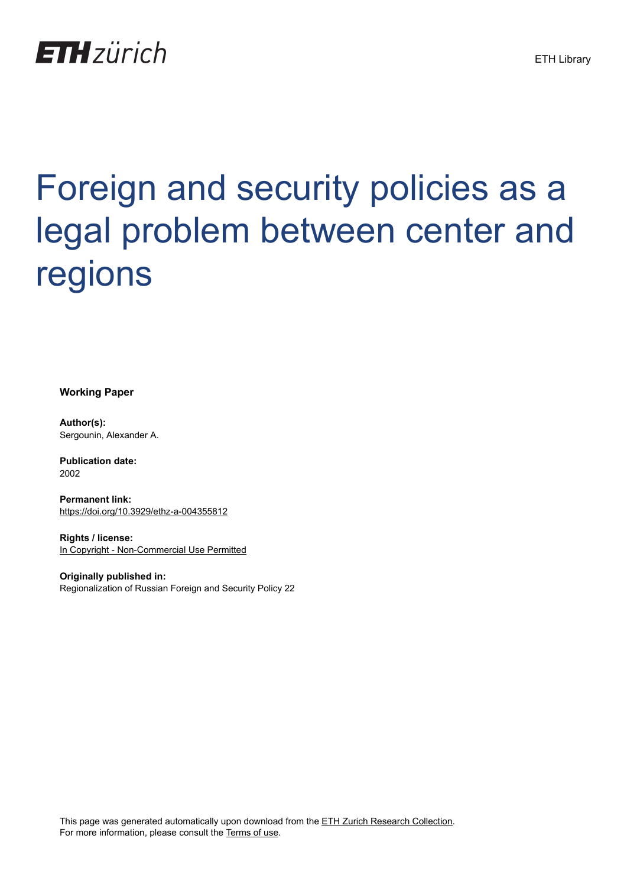

# Foreign and security policies as a legal problem between center and regions

**Working Paper**

**Author(s):** Sergounin, Alexander A.

**Publication date:** 2002

**Permanent link:** <https://doi.org/10.3929/ethz-a-004355812>

**Rights / license:** [In Copyright - Non-Commercial Use Permitted](http://rightsstatements.org/page/InC-NC/1.0/)

**Originally published in:** Regionalization of Russian Foreign and Security Policy 22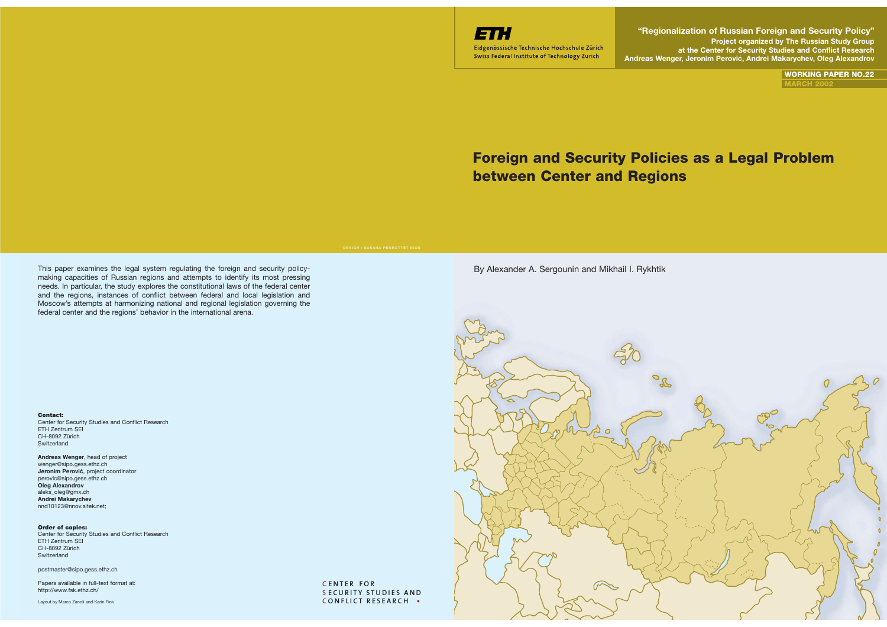

Eidgenössische Technische Hochschule Zürich Swiss Federal Institute of Technology Zurich

**"Regionalization of Russian Foreign and Security Policy" Project organized by The Russian Study Group at the Center for Security Studies and Conflict Research Andreas Wenger, Jeronim Perovic, Andrei Makarychev, Oleg Alexandrov** ´

> **WORKING PAPER NO.22MARCH 2002**

# **Foreign and Security Policies as a Legal Problem between Center and Regions**

This paper examines the legal system regulating the foreign and security policymaking capacities of Russian regions and attempts to identify its most pressing needs. In particular, the study explores the constitutional laws of the federal center and the regions, instances of conflict between federal and local legislation and Moscow's attempts at harmonizing national and regional legislation governing the federal center and the regions' behavior in the international arena.

#### **Contact:**

 Center for Security Studies and Conflict Research ETH Zentrum SEI CH-8092 Zürich**Switzerland** 

#### **Andreas Wenger**, head of project wenger@sipo.gess.ethz.ch **Jeronim Perovic**, project coordinator **´** perovic@sipo.gess.ethz.ch **Oleg Alexandrov** aleks\_oleg@gmx.ch **Andrei Makarychev** nnd10123@nnov.sitek.net;

#### **Order of copies:**

Center for Security Studies and Conflict Research ETH Zentrum SEI CH-8092 Zürich Switzerland

postmaster@sipo.gess.ethz.ch

Papers available in full-text format at: http://www.fsk.ethz.ch/

Layout by Marco Zanoli and Karin Fink

**C ENTER FOR S ECURITY STUDIES AND C ONFLICT RESEARCH**

#### By Alexander A. Sergounin and Mikhail I. Rykhtik

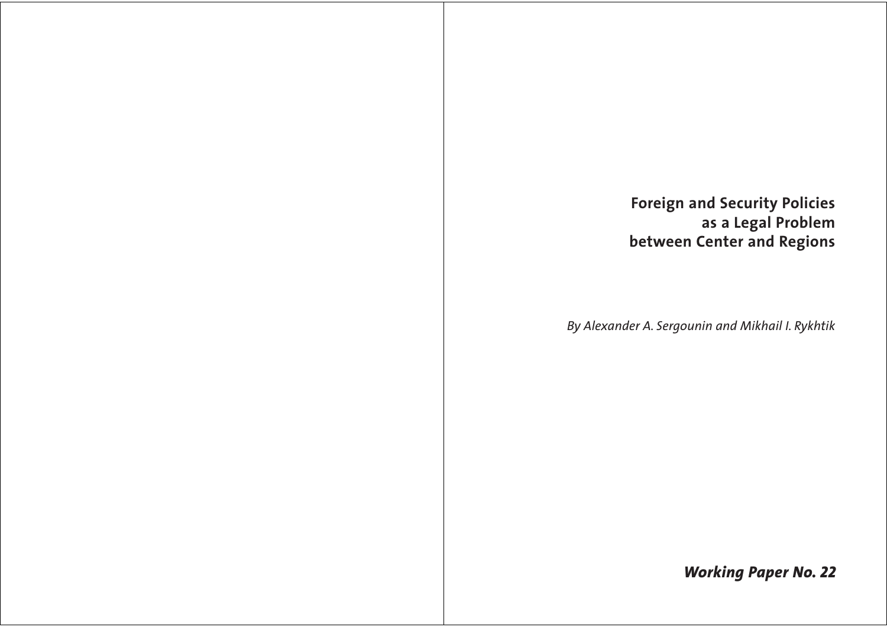# **Foreign and Security Policies** as a Legal Problem between Center and Regions

By Alexander A. Sergounin and Mikhail I. Rykhtik

**Working Paper No. 22**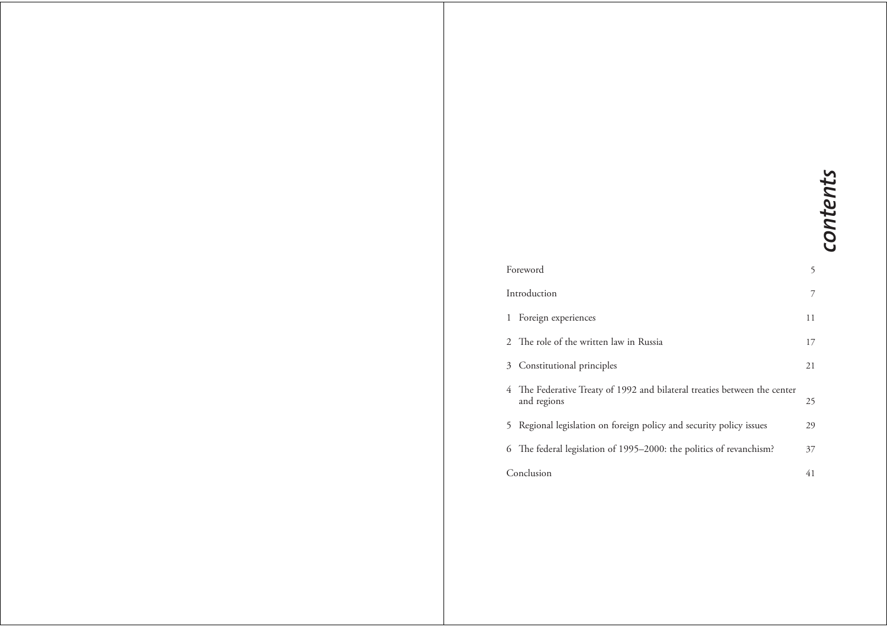# contents

| Foreword |                                                                                          | 5  |
|----------|------------------------------------------------------------------------------------------|----|
|          | Introduction                                                                             |    |
|          | 1 Foreign experiences                                                                    | 11 |
|          | 2 The role of the written law in Russia                                                  | 17 |
|          | 3 Constitutional principles                                                              | 21 |
|          | 4 The Federative Treaty of 1992 and bilateral treaties between the center<br>and regions | 25 |
|          | 5 Regional legislation on foreign policy and security policy issues                      | 29 |
|          | 6 The federal legislation of 1995-2000: the politics of revanchism?                      | 37 |
|          | Conclusion                                                                               |    |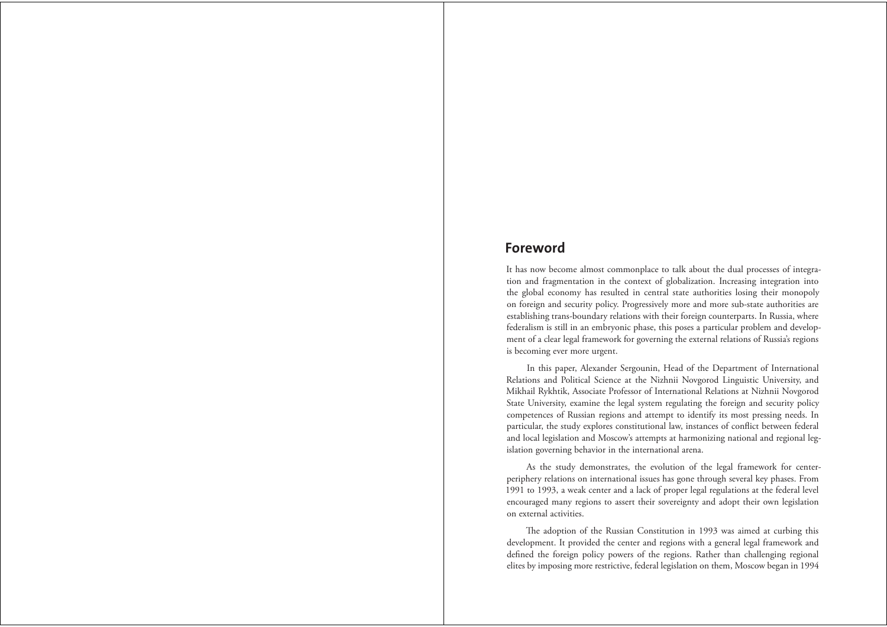### **Foreword**

It has now become almost commonplace to talk about the dual processes of integration and fragmentation in the context of globalization. Increasing integration into the global economy has resulted in central state authorities losing their monopoly on foreign and security policy. Progressively more and more sub-state authorities are establishing trans-boundary relations with their foreign counterparts. In Russia, where federalism is still in an embryonic phase, this poses a particular problem and development of a clear legal framework for governing the external relations of Russia's regions is becoming ever more urgent.

In this paper, Alexander Sergounin, Head of the Department of International Relations and Political Science at the Nizhnii Novgorod Linguistic University, and Mikhail Rykhtik, Associate Professor of International Relations at Nizhnii Novgorod State University, examine the legal system regulating the foreign and security policy competences of Russian regions and attempt to identify its most pressing needs. In particular, the study explores constitutional law, instances of conflict between federal and local legislation and Moscow's attempts at harmonizing national and regional legislation governing behavior in the international arena.

As the study demonstrates, the evolution of the legal framework for centerperiphery relations on international issues has gone through several key phases. From 1991 to 1993, a weak center and a lack of proper legal regulations at the federal level encouraged many regions to assert their sovereignty and adopt their own legislation on external activities.

The adoption of the Russian Constitution in 1993 was aimed at curbing this development. It provided the center and regions with a general legal framework and defined the foreign policy powers of the regions. Rather than challenging regional elites by imposing more restrictive, federal legislation on them, Moscow began in 1994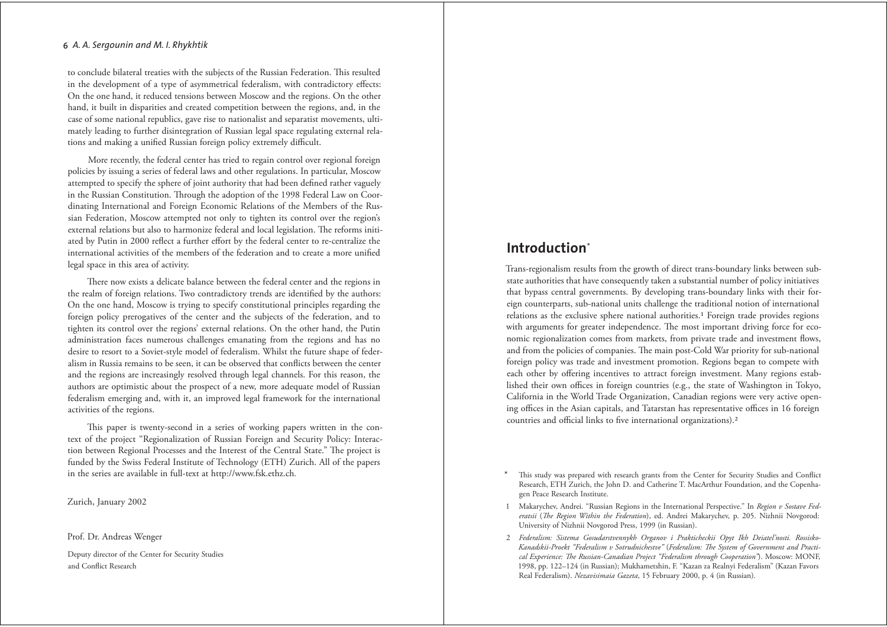to conclude bilateral treaties with the subjects of the Russian Federation. This resulted in the development of a type of asymmetrical federalism, with contradictory effects: On the one hand, it reduced tensions between Moscow and the regions. On the other hand, it built in disparities and created competition between the regions, and, in the case of some national republics, gave rise to nationalist and separatist movements, ultimately leading to further disintegration of Russian legal space regulating external relations and making a unified Russian foreign policy extremely difficult.

More recently, the federal center has tried to regain control over regional foreign policies by issuing a series of federal laws and other regulations. In particular, Moscow attempted to specify the sphere of joint authority that had been defined rather vaguely in the Russian Constitution. Through the adoption of the 1998 Federal Law on Coordinating International and Foreign Economic Relations of the Members of the Russian Federation, Moscow attempted not only to tighten its control over the region's external relations but also to harmonize federal and local legislation. The reforms initiated by Putin in 2000 reflect a further effort by the federal center to re-centralize the international activities of the members of the federation and to create a more unified legal space in this area of activity.

There now exists a delicate balance between the federal center and the regions in the realm of foreign relations. Two contradictory trends are identified by the authors: On the one hand, Moscow is trying to specify constitutional principles regarding the foreign policy prerogatives of the center and the subjects of the federation, and to tighten its control over the regions' external relations. On the other hand, the Putin administration faces numerous challenges emanating from the regions and has no desire to resort to a Soviet-style model of federalism. Whilst the future shape of federalism in Russia remains to be seen, it can be observed that conflicts between the center and the regions are increasingly resolved through legal channels. For this reason, the authors are optimistic about the prospect of a new, more adequate model of Russian federalism emerging and, with it, an improved legal framework for the international activities of the regions.

This paper is twenty-second in a series of working papers written in the context of the project "Regionalization of Russian Foreign and Security Policy: Interaction between Regional Processes and the Interest of the Central State." The project is funded by the Swiss Federal Institute of Technology (ETH) Zurich. All of the papers in the series are available in full-text at http://www.fsk.ethz.ch.

Zurich, January 2002

Prof. Dr. Andreas Wenger

Deputy director of the Center for Security Studies and Conflict Research

# **Introduction**\*

Trans-regionalism results from the growth of direct trans-boundary links between substate authorities that have consequently taken a substantial number of policy initiatives that bypass central governments. By developing trans-boundary links with their foreign counterparts, sub-national units challenge the traditional notion of international relations as the exclusive sphere national authorities.<sup>1</sup> Foreign trade provides regions with arguments for greater independence. The most important driving force for economic regionalization comes from markets, from private trade and investment flows, and from the policies of companies. The main post-Cold War priority for sub-national foreign policy was trade and investment promotion. Regions began to compete with each other by offering incentives to attract foreign investment. Many regions established their own offices in foreign countries (e.g., the state of Washington in Tokyo, California in the World Trade Organization, Canadian regions were very active opening offices in the Asian capitals, and Tatarstan has representative offices in 16 foreign countries and official links to five international organizations).<sup>2</sup>

This study was prepared with research grants from the Center for Security Studies and Conflict Research, ETH Zurich, the John D. and Catherine T. MacArthur Foundation, and the Copenhagen Peace Research Institute.

1 Makarychev, Andrei. "Russian Regions in the International Perspective." In Region v Sostave Federatsii (The Region Within the Federation), ed. Andrei Makarychev, p. 205. Nizhnii Novgorod: University of Nizhnii Novgorod Press, 1999 (in Russian).

2 Federalism: Sistema Gosudarstvennykh Organov i Prakticheckii Opyt Ikh Deiateľnosti. Rossisko-Kanadskii-Proekt "Federalism v Sotrudnichestve" (Federalism: The System of Government and Practical Experience: The Russian-Canadian Project "Federalism through Cooperation"). Moscow: MONF, 1998, pp. 122-124 (in Russian); Mukhametshin, F. "Kazan za Realnyi Federalism" (Kazan Favors Real Federalism). Nezavisimaia Gazeta, 15 February 2000, p. 4 (in Russian).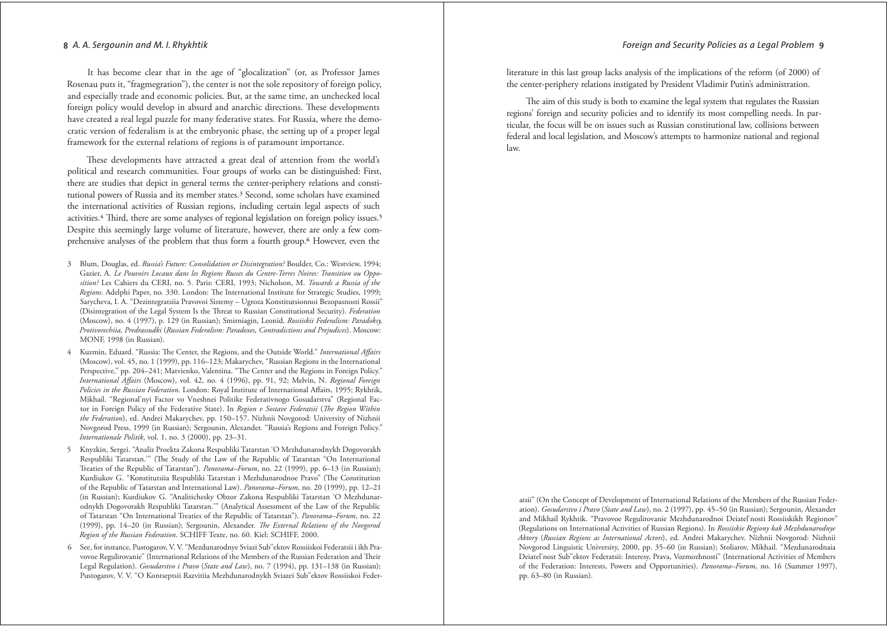It has become clear that in the age of "glocalization" (or, as Professor James Rosenau puts it, "fragmegration"), the center is not the sole repository of foreign policy, and especially trade and economic policies. But, at the same time, an unchecked local foreign policy would develop in absurd and anarchic directions. These developments have created a real legal puzzle for many federative states. For Russia, where the democratic version of federalism is at the embryonic phase, the setting up of a proper legal framework for the external relations of regions is of paramount importance.

These developments have attracted a great deal of attention from the world's political and research communities. Four groups of works can be distinguished: First, there are studies that depict in general terms the center-periphery relations and constitutional powers of Russia and its member states.<sup>3</sup> Second, some scholars have examined the international activities of Russian regions, including certain legal aspects of such activities.<sup>4</sup> Third, there are some analyses of regional legislation on foreign policy issues.<sup>5</sup> Despite this seemingly large volume of literature, however, there are only a few comprehensive analyses of the problem that thus form a fourth group.<sup>6</sup> However, even the

- 3 Blum, Douglas, ed. Russia's Future: Consolidation or Disintegration? Boulder, Co.: Westview, 1994; Gazier, A. Le Pouvoirs Locaux dans les Regions Russes du Centre-Terres Noires: Transition ou Opposition? Les Cahiers du CERI, no. 5. Paris: CERI, 1993; Nicholson, M. Towards a Russia of the Regions. Adelphi Paper, no. 330. London: The International Institute for Strategic Studies, 1999; Sarycheva, I. A. "Dezintegratsiia Pravovoi Sistemy - Ugroza Konstitutsionnoi Bezopasnosti Rossii" (Disintegration of the Legal System Is the Threat to Russian Constitutional Security). Federation (Moscow), no. 4 (1997), p. 129 (in Russian); Smirniagin, Leonid. Rossiiskii Federalism: Paradoksy, Protivorechiia, Predrassudki (Russian Federalism: Paradoxes, Contradictions and Prejudices). Moscow: MONF, 1998 (in Russian).
- Kuzmin, Eduard. "Russia: The Center, the Regions, and the Outside World." International Affairs (Moscow), vol. 45, no. 1 (1999), pp. 116-123; Makarychev, "Russian Regions in the International Perspective," pp. 204-241; Matvienko, Valentina. "The Center and the Regions in Foreign Policy." International Affairs (Moscow), vol. 42, no. 4 (1996), pp. 91, 92; Melvin, N. Regional Foreign Policies in the Russian Federation. London: Royal Institute of International Affairs, 1995; Rykhtik, Mikhail. "Regional'nyi Factor vo Vneshnei Politike Federativnogo Gosudarstva" (Regional Factor in Foreign Policy of the Federative State). In Region v Sostave Federatsii (The Region Within the Federation), ed. Andrei Makarychev, pp. 150-157. Nizhnii Novgorod: University of Nizhnii Novgorod Press, 1999 (in Russian); Sergounin, Alexander. "Russia's Regions and Foreign Policy." Internationale Politik, vol. 1, no. 3 (2000), pp. 23-31.
- Knyzkin, Sergei. "Analiz Proekta Zakona Respubliki Tatarstan 'O Mezhdunarodnykh Dogovorakh  $\sim$ Respubliki Tatarstan."" (The Study of the Law of the Republic of Tatarstan "On International Treaties of the Republic of Tatarstan"). *Panorama–Forum*, no. 22 (1999), pp. 6–13 (in Russian); Kurdiukov G. "Konstitutsiia Respubliki Tatarstan i Mezhdunarodnoe Pravo" (The Constitution of the Republic of Tatarstan and International Law). Panorama-Forum, no. 20 (1999), pp. 12-21 (in Russian); Kurdiukov G. "Analitichesky Obzor Zakona Respubliki Tatarstan 'O Mezhdunarodnykh Dogovorakh Respubliki Tatarstan."" (Analytical Assessment of the Law of the Republic of Tatarstan "On International Treaties of the Republic of Tatarstan"). Panorama-Forum, no. 22 (1999), pp. 14-20 (in Russian); Sergounin, Alexander. The External Relations of the Novgorod Region of the Russian Federation. SCHIFF Texte, no. 60. Kiel: SCHIFF, 2000.
- 6 See, for instance, Pustogarov, V. V. "Mezdunarodnye Sviazi Sub" ektov Rossiiskoi Federatsii i ikh Pravovoe Regulirovanie" (International Relations of the Members of the Russian Federation and Their Legal Regulation). Gosudarstvo i Pravo (State and Law), no. 7 (1994), pp. 131-138 (in Russian); Pustogarov, V. V. "O Kontseptsii Razvitiia Mezhdunarodnykh Sviazei Sub"ektov Rossiiskoi Feder-

literature in this last group lacks analysis of the implications of the reform (of 2000) of the center-periphery relations instigated by President Vladimir Putin's administration.

The aim of this study is both to examine the legal system that regulates the Russian regions' foreign and security policies and to identify its most compelling needs. In particular, the focus will be on issues such as Russian constitutional law, collisions between federal and local legislation, and Moscow's attempts to harmonize national and regional  $law$ 

atsii" (On the Concept of Development of International Relations of the Members of the Russian Federation). Gosudarstvo i Pravo (State and Law), no. 2 (1997), pp. 45-50 (in Russian); Sergounin, Alexander and Mikhail Rykhtik. "Pravovoe Regulirovanie Mezhdunarodnoi Deiatel'nosti Rossiiskikh Regionov" (Regulations on International Activities of Russian Regions). In Rossiiskie Regiony kak Mezhdunarodnye Aktory (Russian Regions as International Actors), ed. Andrei Makarychev. Nizhnii Novgorod: Nizhnii Novgorod Linguistic University, 2000, pp. 35-60 (in Russian); Stoliarov, Mikhail. "Mezdunarodnaia Deiatel'nost Sub"ektov Federatsii: Interesy, Prava, Vozmozhnosti" (International Activities of Members of the Federation: Interests, Powers and Opportunities). Panorama-Forum, no. 16 (Summer 1997), pp. 63-80 (in Russian).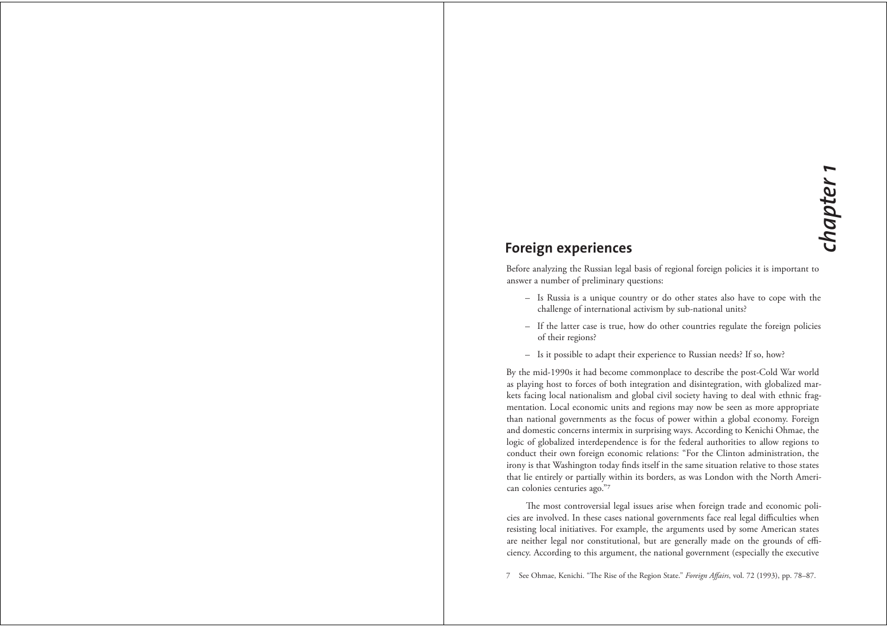# **Foreign experiences**

Before analyzing the Russian legal basis of regional foreign policies it is important to answer a number of preliminary questions:

- Is Russia is a unique country or do other states also have to cope with the challenge of international activism by sub-national units?
- If the latter case is true, how do other countries regulate the foreign policies of their regions?
- Is it possible to adapt their experience to Russian needs? If so, how?

By the mid-1990s it had become commonplace to describe the post-Cold War world as playing host to forces of both integration and disintegration, with globalized markets facing local nationalism and global civil society having to deal with ethnic fragmentation. Local economic units and regions may now be seen as more appropriate than national governments as the focus of power within a global economy. Foreign and domestic concerns intermix in surprising ways. According to Kenichi Ohmae, the logic of globalized interdependence is for the federal authorities to allow regions to conduct their own foreign economic relations: "For the Clinton administration, the irony is that Washington today finds itself in the same situation relative to those states that lie entirely or partially within its borders, as was London with the North American colonies centuries ago."7

The most controversial legal issues arise when foreign trade and economic policies are involved. In these cases national governments face real legal difficulties when resisting local initiatives. For example, the arguments used by some American states are neither legal nor constitutional, but are generally made on the grounds of efficiency. According to this argument, the national government (especially the executive

7 See Ohmae, Kenichi. "The Rise of the Region State." Foreign Affairs, vol. 72 (1993), pp. 78-87.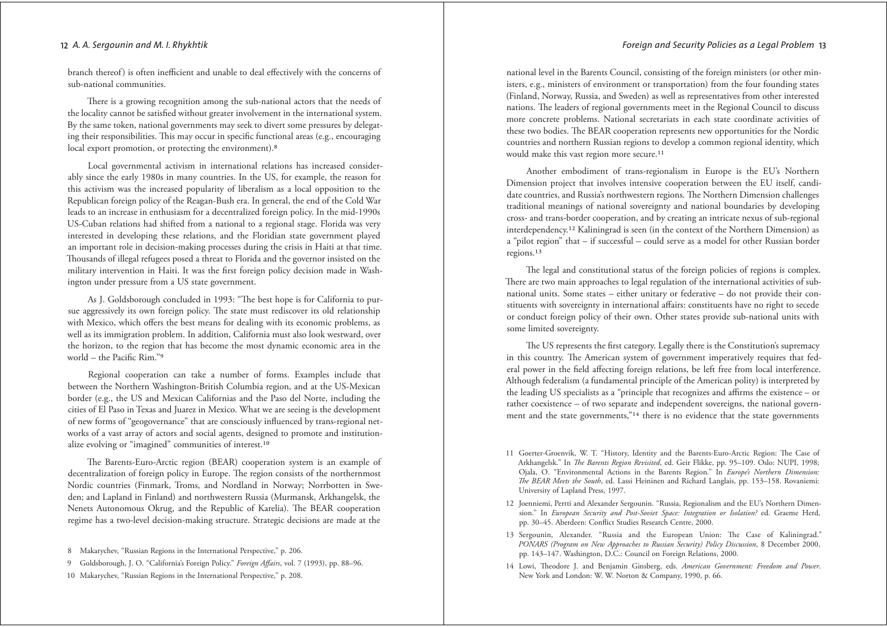branch thereof) is often inefficient and unable to deal effectively with the concerns of sub-national communities.

There is a growing recognition among the sub-national actors that the needs of the locality cannot be satisfied without greater involvement in the international system. By the same token, national governments may seek to divert some pressures by delegating their responsibilities. This may occur in specific functional areas (e.g., encouraging local export promotion, or protecting the environment).<sup>8</sup>

Local governmental activism in international relations has increased considerably since the early 1980s in many countries. In the US, for example, the reason for this activism was the increased popularity of liberalism as a local opposition to the Republican foreign policy of the Reagan-Bush era. In general, the end of the Cold War leads to an increase in enthusiasm for a decentralized foreign policy. In the mid-1990s US-Cuban relations had shifted from a national to a regional stage. Florida was very interested in developing these relations, and the Floridian state government played an important role in decision-making processes during the crisis in Haiti at that time. Thousands of illegal refugees posed a threat to Florida and the governor insisted on the military intervention in Haiti. It was the first foreign policy decision made in Washington under pressure from a US state government.

As J. Goldsborough concluded in 1993: "The best hope is for California to pursue aggressively its own foreign policy. The state must rediscover its old relationship with Mexico, which offers the best means for dealing with its economic problems, as well as its immigration problem. In addition, California must also look westward, over the horizon, to the region that has become the most dynamic economic area in the world - the Pacific Rim."9

Regional cooperation can take a number of forms. Examples include that between the Northern Washington-British Columbia region, and at the US-Mexican border (e.g., the US and Mexican Californias and the Paso del Norte, including the cities of El Paso in Texas and Juarez in Mexico. What we are seeing is the development of new forms of "geogovernance" that are consciously influenced by trans-regional networks of a vast array of actors and social agents, designed to promote and institutionalize evolving or "imagined" communities of interest.<sup>10</sup>

The Barents-Euro-Arctic region (BEAR) cooperation system is an example of decentralization of foreign policy in Europe. The region consists of the northernmost Nordic countries (Finmark, Troms, and Nordland in Norway; Norrbotten in Sweden; and Lapland in Finland) and northwestern Russia (Murmansk, Arkhangelsk, the Nenets Autonomous Okrug, and the Republic of Karelia). The BEAR cooperation regime has a two-level decision-making structure. Strategic decisions are made at the

- 9 Goldsborough, J. O. "California's Foreign Policy." Foreign Affairs, vol. 7 (1993), pp. 88-96.
- 10 Makarychev, "Russian Regions in the International Perspective," p. 208

national level in the Barents Council, consisting of the foreign ministers (or other ministers, e.g., ministers of environment or transportation) from the four founding states (Finland, Norway, Russia, and Sweden) as well as representatives from other interested nations. The leaders of regional governments meet in the Regional Council to discuss more concrete problems. National secretariats in each state coordinate activities of these two bodies. The BEAR cooperation represents new opportunities for the Nordic countries and northern Russian regions to develop a common regional identity, which would make this vast region more secure.<sup>11</sup>

Another embodiment of trans-regionalism in Europe is the EU's Northern Dimension project that involves intensive cooperation between the EU itself, candidate countries, and Russia's northwestern regions. The Northern Dimension challenges traditional meanings of national sovereignty and national boundaries by developing cross- and trans-border cooperation, and by creating an intricate nexus of sub-regional interdependency.<sup>12</sup> Kaliningrad is seen (in the context of the Northern Dimension) as a "pilot region" that – if successful – could serve as a model for other Russian border regions.<sup>13</sup>

The legal and constitutional status of the foreign policies of regions is complex. There are two main approaches to legal regulation of the international activities of subnational units. Some states - either unitary or federative - do not provide their constituents with sovereignty in international affairs: constituents have no right to secede or conduct foreign policy of their own. Other states provide sub-national units with some limited sovereignty.

The US represents the first category. Legally there is the Constitution's supremacy in this country. The American system of government imperatively requires that federal power in the field affecting foreign relations, be left free from local interference. Although federalism (a fundamental principle of the American polity) is interpreted by the leading US specialists as a "principle that recognizes and affirms the existence – or rather coexistence - of two separate and independent sovereigns, the national government and the state governments,"<sup>14</sup> there is no evidence that the state governments

- 13 Sergounin, Alexander. "Russia and the European Union: The Case of Kaliningrad." PONARS (Program on New Approaches to Russian Security) Policy Discussion, 8 December 2000, pp. 143-147. Washington, D.C.: Council on Foreign Relations, 2000.
- 14 Lowi, Theodore J. and Benjamin Ginsberg, eds. American Government: Freedom and Power. New York and London: W. W. Norton & Company, 1990, p. 66.

<sup>8</sup> Makarychev, "Russian Regions in the International Perspective," p. 206.

<sup>11</sup> Goerter-Groenvik, W. T. "History, Identity and the Barents-Euro-Arctic Region: The Case of Arkhangelsk." In *The Barents Region Revisited*, ed. Geir Flikke, pp. 95-109. Oslo: NUPI, 1998; Ojala, O. "Environmental Actions in the Barents Region." In Europe's Northern Dimension: The BEAR Meets the South, ed. Lassi Heininen and Richard Langlais, pp. 153-158. Rovaniemi: University of Lapland Press, 1997.

<sup>12</sup> Joenniemi, Pertti and Alexander Sergounin. "Russia, Regionalism and the EU's Northern Dimension." In European Security and Post-Soviet Space: Integration or Isolation? ed. Graeme Herd, pp. 30-45. Aberdeen: Conflict Studies Research Centre, 2000.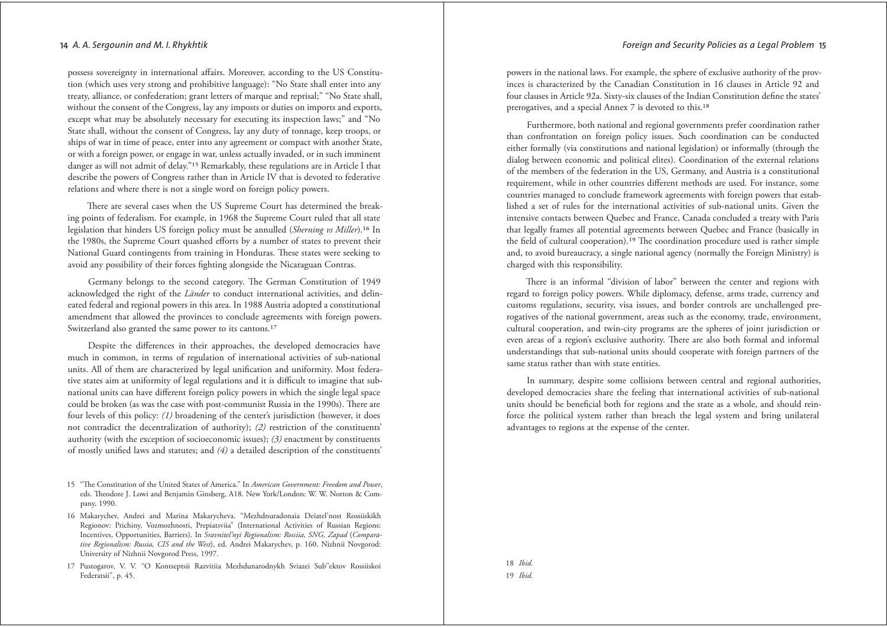possess sovereignty in international affairs. Moreover, according to the US Constitution (which uses very strong and prohibitive language): "No State shall enter into any treaty, alliance, or confederation; grant letters of marque and reprisal;" "No State shall, without the consent of the Congress, lay any imposts or duties on imports and exports, except what may be absolutely necessary for executing its inspection laws;" and "No State shall, without the consent of Congress, lay any duty of tonnage, keep troops, or ships of war in time of peace, enter into any agreement or compact with another State, or with a foreign power, or engage in war, unless actually invaded, or in such imminent danger as will not admit of delay."<sup>15</sup> Remarkably, these regulations are in Article I that describe the powers of Congress rather than in Article IV that is devoted to federative relations and where there is not a single word on foreign policy powers.

There are several cases when the US Supreme Court has determined the breaking points of federalism. For example, in 1968 the Supreme Court ruled that all state legislation that hinders US foreign policy must be annulled (Sherning vs Miller).<sup>16</sup> In the 1980s, the Supreme Court quashed efforts by a number of states to prevent their National Guard contingents from training in Honduras. These states were seeking to avoid any possibility of their forces fighting alongside the Nicaraguan Contras.

Germany belongs to the second category. The German Constitution of 1949 acknowledged the right of the *Länder* to conduct international activities, and delineated federal and regional powers in this area. In 1988 Austria adopted a constitutional amendment that allowed the provinces to conclude agreements with foreign powers. Switzerland also granted the same power to its cantons.<sup>17</sup>

Despite the differences in their approaches, the developed democracies have much in common, in terms of regulation of international activities of sub-national units. All of them are characterized by legal unification and uniformity. Most federative states aim at uniformity of legal regulations and it is difficult to imagine that subnational units can have different foreign policy powers in which the single legal space could be broken (as was the case with post-communist Russia in the 1990s). There are four levels of this policy: (1) broadening of the center's jurisdiction (however, it does not contradict the decentralization of authority); (2) restriction of the constituents' authority (with the exception of socioeconomic issues);  $(3)$  enactment by constituents of mostly unified laws and statutes; and  $(4)$  a detailed description of the constituents'

- 15 "The Constitution of the United States of America." In American Government: Freedom and Power. eds. Theodore J. Lowi and Benjamin Ginsberg, A18. New York/London: W. W. Norton & Company, 1990.
- 16 Makarychev, Andrei and Marina Makarycheva. "Mezhdnuradonaia Deiatel'nost Rossiiskikh Regionov: Prichiny, Vozmozhnosti, Prepiatsvija" (International Activities of Russian Regions: Incentives, Opportunities, Barriers). In Sravnitel'nyi Regionalism: Rossiia, SNG, Zapad (Comparative Regionalism: Russia, CIS and the West), ed. Andrei Makarychev, p. 160. Nizhnii Novgorod: University of Nizhnii Novgorod Press, 1997.
- 17 Pustogarov, V. V. "O Kontseptsii Razvitiia Mezhdunarodnykh Sviazei Sub"ektov Rossiiskoi Federatsii", p. 45.

powers in the national laws. For example, the sphere of exclusive authority of the provinces is characterized by the Canadian Constitution in 16 clauses in Article 92 and four clauses in Article 92a. Sixty-six clauses of the Indian Constitution define the states' prerogatives, and a special Annex 7 is devoted to this.<sup>18</sup>

Furthermore, both national and regional governments prefer coordination rather than confrontation on foreign policy issues. Such coordination can be conducted either formally (via constitutions and national legislation) or informally (through the dialog between economic and political elites). Coordination of the external relations of the members of the federation in the US, Germany, and Austria is a constitutional requirement, while in other countries different methods are used. For instance, some countries managed to conclude framework agreements with foreign powers that established a set of rules for the international activities of sub-national units. Given the intensive contacts between Quebec and France, Canada concluded a treaty with Paris that legally frames all potential agreements between Quebec and France (basically in the field of cultural cooperation).<sup>19</sup> The coordination procedure used is rather simple and, to avoid bureaucracy, a single national agency (normally the Foreign Ministry) is charged with this responsibility.

There is an informal "division of labor" between the center and regions with regard to foreign policy powers. While diplomacy, defense, arms trade, currency and customs regulations, security, visa issues, and border controls are unchallenged prerogatives of the national government, areas such as the economy, trade, environment, cultural cooperation, and twin-city programs are the spheres of joint jurisdiction or even areas of a region's exclusive authority. There are also both formal and informal understandings that sub-national units should cooperate with foreign partners of the same status rather than with state entities.

In summary, despite some collisions between central and regional authorities, developed democracies share the feeling that international activities of sub-national units should be beneficial both for regions and the state as a whole, and should reinforce the political system rather than breach the legal system and bring unilateral advantages to regions at the expense of the center.

18 Ibid.  $19$  *Ibid.*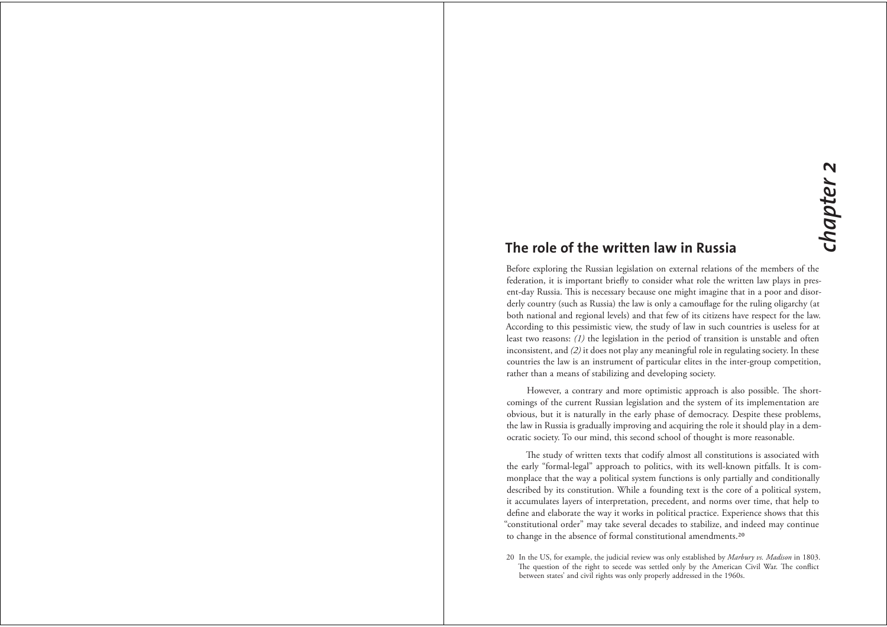# The role of the written law in Russia

Before exploring the Russian legislation on external relations of the members of the federation, it is important briefly to consider what role the written law plays in present-day Russia. This is necessary because one might imagine that in a poor and disorderly country (such as Russia) the law is only a camouflage for the ruling oligarchy (at both national and regional levels) and that few of its citizens have respect for the law. According to this pessimistic view, the study of law in such countries is useless for at least two reasons: (1) the legislation in the period of transition is unstable and often inconsistent, and (2) it does not play any meaningful role in regulating society. In these countries the law is an instrument of particular elites in the inter-group competition, rather than a means of stabilizing and developing society.

However, a contrary and more optimistic approach is also possible. The shortcomings of the current Russian legislation and the system of its implementation are obvious, but it is naturally in the early phase of democracy. Despite these problems, the law in Russia is gradually improving and acquiring the role it should play in a democratic society. To our mind, this second school of thought is more reasonable.

The study of written texts that codify almost all constitutions is associated with the early "formal-legal" approach to politics, with its well-known pitfalls. It is commonplace that the way a political system functions is only partially and conditionally described by its constitution. While a founding text is the core of a political system, it accumulates layers of interpretation, precedent, and norms over time, that help to define and elaborate the way it works in political practice. Experience shows that this "constitutional order" may take several decades to stabilize, and indeed may continue to change in the absence of formal constitutional amendments.<sup>20</sup>

20 In the US, for example, the judicial review was only established by Marbury vs. Madison in 1803 The question of the right to secede was settled only by the American Civil War. The conflict between states' and civil rights was only properly addressed in the 1960s.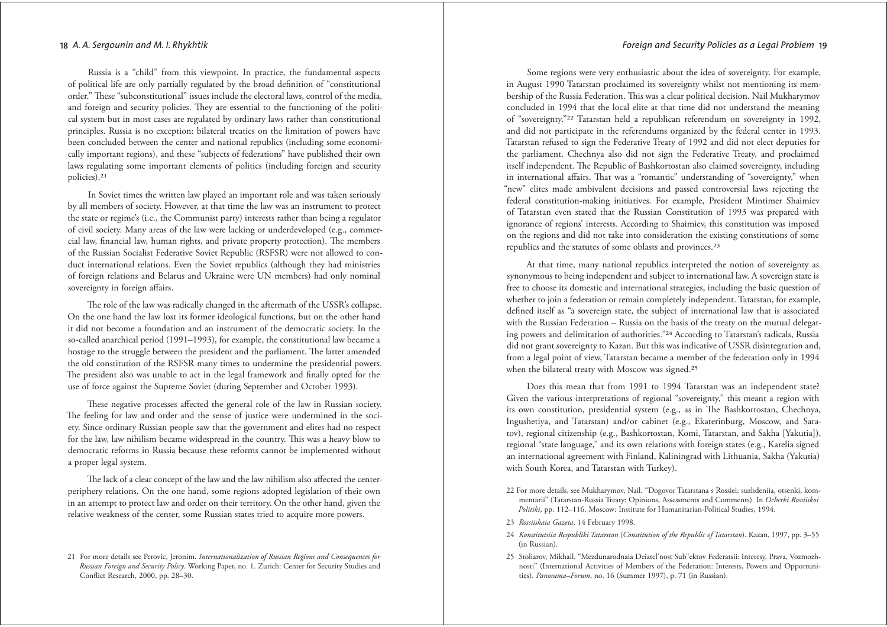#### Foreian and Security Policies as a Leagl Problem 19

#### 18 A. A. Sergounin and M. I. Rhykhtik

Russia is a "child" from this viewpoint. In practice, the fundamental aspects of political life are only partially regulated by the broad definition of "constitutional order." These "subconstitutional" issues include the electoral laws, control of the media, and foreign and security policies. They are essential to the functioning of the political system but in most cases are regulated by ordinary laws rather than constitutional principles. Russia is no exception: bilateral treaties on the limitation of powers have been concluded between the center and national republics (including some economically important regions), and these "subjects of federations" have published their own laws regulating some important elements of politics (including foreign and security policies).<sup>21</sup>

In Soviet times the written law played an important role and was taken seriously by all members of society. However, at that time the law was an instrument to protect the state or regime's (i.e., the Communist party) interests rather than being a regulator of civil society. Many areas of the law were lacking or underdeveloped (e.g., commercial law, financial law, human rights, and private property protection). The members of the Russian Socialist Federative Soviet Republic (RSFSR) were not allowed to conduct international relations. Even the Soviet republics (although they had ministries of foreign relations and Belarus and Ukraine were UN members) had only nominal sovereignty in foreign affairs.

The role of the law was radically changed in the aftermath of the USSR's collapse. On the one hand the law lost its former ideological functions, but on the other hand it did not become a foundation and an instrument of the democratic society. In the so-called anarchical period (1991-1993), for example, the constitutional law became a hostage to the struggle between the president and the parliament. The latter amended the old constitution of the RSFSR many times to undermine the presidential powers. The president also was unable to act in the legal framework and finally opted for the use of force against the Supreme Soviet (during September and October 1993).

These negative processes affected the general role of the law in Russian society. The feeling for law and order and the sense of justice were undermined in the society. Since ordinary Russian people saw that the government and elites had no respect for the law, law nihilism became widespread in the country. This was a heavy blow to democratic reforms in Russia because these reforms cannot be implemented without a proper legal system.

The lack of a clear concept of the law and the law nihilism also affected the centerperiphery relations. On the one hand, some regions adopted legislation of their own in an attempt to protect law and order on their territory. On the other hand, given the relative weakness of the center, some Russian states tried to acquire more powers.

Some regions were very enthusiastic about the idea of sovereignty. For example, in August 1990 Tatarstan proclaimed its sovereignty whilst not mentioning its membership of the Russia Federation. This was a clear political decision. Nail Mukharymov concluded in 1994 that the local elite at that time did not understand the meaning of "sovereignty."<sup>22</sup> Tatarstan held a republican referendum on sovereignty in 1992, and did not participate in the referendums organized by the federal center in 1993. Tatarstan refused to sign the Federative Treaty of 1992 and did not elect deputies for the parliament. Chechnya also did not sign the Federative Treaty, and proclaimed itself independent. The Republic of Bashkortostan also claimed sovereignty, including in international affairs. That was a "romantic" understanding of "sovereignty," when "new" elites made ambivalent decisions and passed controversial laws rejecting the federal constitution-making initiatives. For example, President Mintimer Shaimiev of Tatarstan even stated that the Russian Constitution of 1993 was prepared with ignorance of regions' interests. According to Shaimiev, this constitution was imposed on the regions and did not take into consideration the existing constitutions of some republics and the statutes of some oblasts and provinces.<sup>23</sup>

At that time, many national republics interpreted the notion of sovereignty as synonymous to being independent and subject to international law. A sovereign state is free to choose its domestic and international strategies, including the basic question of whether to join a federation or remain completely independent. Tatarstan, for example, defined itself as "a sovereign state, the subject of international law that is associated with the Russian Federation - Russia on the basis of the treaty on the mutual delegating powers and delimitation of authorities."24 According to Tatarstan's radicals, Russia did not grant sovereignty to Kazan. But this was indicative of USSR disintegration and, from a legal point of view, Tatarstan became a member of the federation only in 1994 when the bilateral treaty with Moscow was signed.<sup>25</sup>

Does this mean that from 1991 to 1994 Tatarstan was an independent state? Given the various interpretations of regional "sovereignty," this meant a region with its own constitution, presidential system (e.g., as in The Bashkortostan, Chechnya, Ingushetiya, and Tatarstan) and/or cabinet (e.g., Ekaterinburg, Moscow, and Saratov), regional citizenship (e.g., Bashkortostan, Komi, Tatarstan, and Sakha [Yakutia]), regional "state language," and its own relations with foreign states (e.g., Karelia signed an international agreement with Finland, Kaliningrad with Lithuania, Sakha (Yakutia) with South Korea, and Tatarstan with Turkey).

- 22 For more details, see Mukharymov, Nail. "Dogovor Tatarstana s Rossiei: suzhdeniia, otsenki, kommentarii" (Tatarstan-Russia Treaty: Opinions, Assessments and Comments). In Ocherki Rossiiskoi Politiki, pp. 112-116. Moscow: Institute for Humanitarian-Political Studies, 1994.
- 23 Rossiiskaia Gazeta, 14 February 1998.
- 24 Konstitutsiia Respubliki Tatarstan (Constitution of the Republic of Tatarstan). Kazan, 1997, pp. 3-55 (in Russian).
- 25 Stoliarov, Mikhail. "Mezdunarodnaia Deiatel'nost Sub"ektov Federatsii: Interesy, Prava, Vozmozhnosti" (International Activities of Members of the Federation: Interests, Powers and Opportunities). Panorama-Forum, no. 16 (Summer 1997), p. 71 (in Russian).

<sup>21</sup> For more details see Perovic, Jeronim. Internationalization of Russian Regions and Consequences for Russian Foreign and Security Policy. Working Paper, no. 1. Zurich: Center for Security Studies and Conflict Research, 2000, pp. 28-30.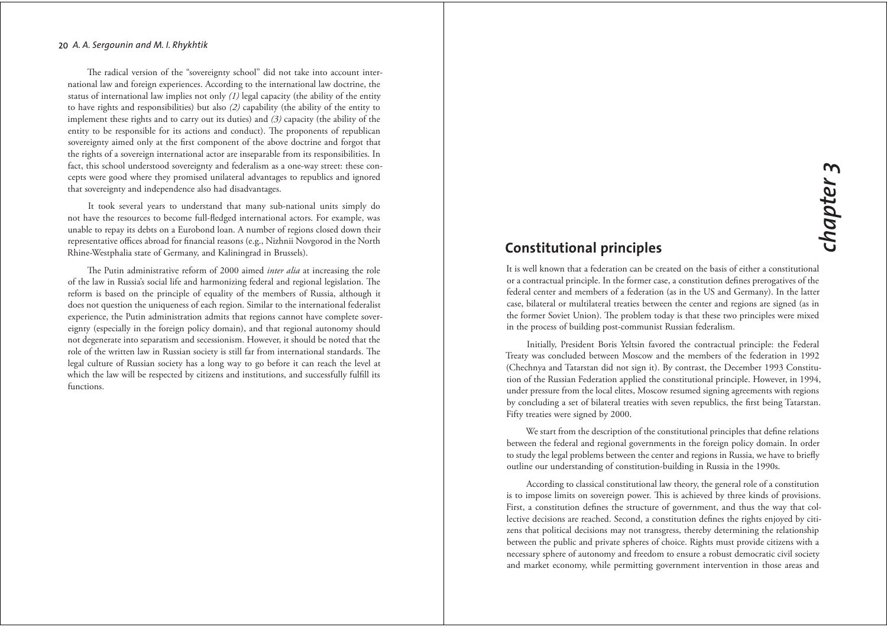The radical version of the "sovereignty school" did not take into account international law and foreign experiences. According to the international law doctrine, the status of international law implies not only  $(1)$  legal capacity (the ability of the entity to have rights and responsibilities) but also  $(2)$  capability (the ability of the entity to implement these rights and to carry out its duties) and  $(3)$  capacity (the ability of the entity to be responsible for its actions and conduct). The proponents of republican sovereignty aimed only at the first component of the above doctrine and forgot that the rights of a sovereign international actor are inseparable from its responsibilities. In fact, this school understood sovereignty and federalism as a one-way street: these concepts were good where they promised unilateral advantages to republics and ignored that sovereignty and independence also had disadvantages.

It took several years to understand that many sub-national units simply do not have the resources to become full-fledged international actors. For example, was unable to repay its debts on a Eurobond loan. A number of regions closed down their representative offices abroad for financial reasons (e.g., Nizhnii Novgorod in the North Rhine-Westphalia state of Germany, and Kaliningrad in Brussels).

The Putin administrative reform of 2000 aimed inter alia at increasing the role of the law in Russia's social life and harmonizing federal and regional legislation. The reform is based on the principle of equality of the members of Russia, although it does not question the uniqueness of each region. Similar to the international federalist experience, the Putin administration admits that regions cannot have complete sovereignty (especially in the foreign policy domain), and that regional autonomy should not degenerate into separatism and secessionism. However, it should be noted that the role of the written law in Russian society is still far from international standards. The legal culture of Russian society has a long way to go before it can reach the level at which the law will be respected by citizens and institutions, and successfully fulfill its functions.

# **Constitutional principles**

It is well known that a federation can be created on the basis of either a constitutional or a contractual principle. In the former case, a constitution defines prerogatives of the federal center and members of a federation (as in the US and Germany). In the latter case, bilateral or multilateral treaties between the center and regions are signed (as in the former Soviet Union). The problem today is that these two principles were mixed in the process of building post-communist Russian federalism.

Initially, President Boris Yeltsin favored the contractual principle: the Federal Treaty was concluded between Moscow and the members of the federation in 1992 (Chechnya and Tatarstan did not sign it). By contrast, the December 1993 Constitution of the Russian Federation applied the constitutional principle. However, in 1994, under pressure from the local elites, Moscow resumed signing agreements with regions by concluding a set of bilateral treaties with seven republics, the first being Tatarstan. Fifty treaties were signed by 2000.

We start from the description of the constitutional principles that define relations between the federal and regional governments in the foreign policy domain. In order to study the legal problems between the center and regions in Russia, we have to briefly outline our understanding of constitution-building in Russia in the 1990s.

According to classical constitutional law theory, the general role of a constitution is to impose limits on sovereign power. This is achieved by three kinds of provisions. First, a constitution defines the structure of government, and thus the way that collective decisions are reached. Second, a constitution defines the rights enjoyed by citizens that political decisions may not transgress, thereby determining the relationship between the public and private spheres of choice. Rights must provide citizens with a necessary sphere of autonomy and freedom to ensure a robust democratic civil society and market economy, while permitting government intervention in those areas and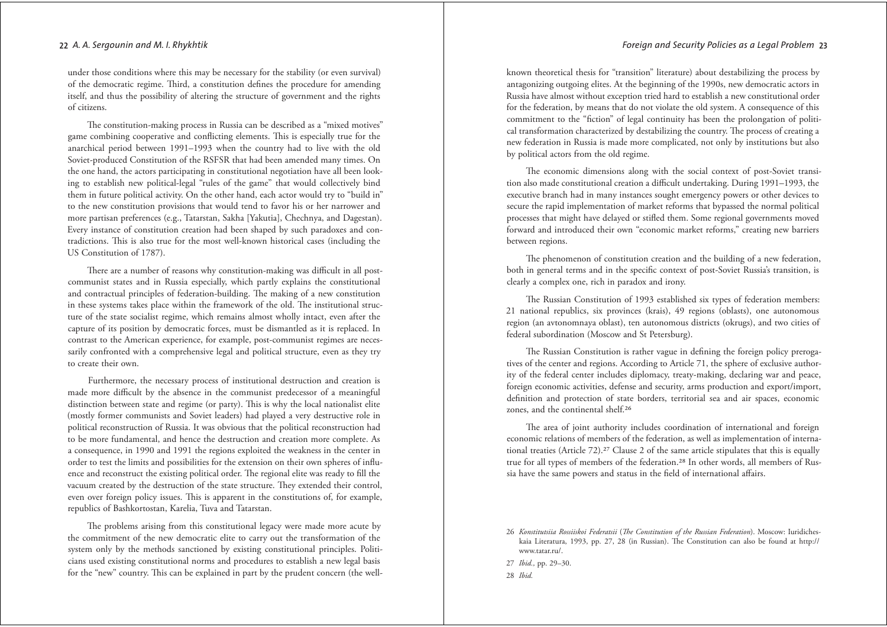under those conditions where this may be necessary for the stability (or even survival) of the democratic regime. Third, a constitution defines the procedure for amending itself, and thus the possibility of altering the structure of government and the rights of citizens.

The constitution-making process in Russia can be described as a "mixed motives" game combining cooperative and conflicting elements. This is especially true for the anarchical period between 1991-1993 when the country had to live with the old Soviet-produced Constitution of the RSFSR that had been amended many times. On the one hand, the actors participating in constitutional negotiation have all been looking to establish new political-legal "rules of the game" that would collectively bind them in future political activity. On the other hand, each actor would try to "build in" to the new constitution provisions that would tend to favor his or her narrower and more partisan preferences (e.g., Tatarstan, Sakha [Yakutia], Chechnya, and Dagestan). Every instance of constitution creation had been shaped by such paradoxes and contradictions. This is also true for the most well-known historical cases (including the US Constitution of 1787).

There are a number of reasons why constitution-making was difficult in all postcommunist states and in Russia especially, which partly explains the constitutional and contractual principles of federation-building. The making of a new constitution in these systems takes place within the framework of the old. The institutional structure of the state socialist regime, which remains almost wholly intact, even after the capture of its position by democratic forces, must be dismantled as it is replaced. In contrast to the American experience, for example, post-communist regimes are necessarily confronted with a comprehensive legal and political structure, even as they try to create their own.

Furthermore, the necessary process of institutional destruction and creation is made more difficult by the absence in the communist predecessor of a meaningful distinction between state and regime (or party). This is why the local nationalist elite (mostly former communists and Soviet leaders) had played a very destructive role in political reconstruction of Russia. It was obvious that the political reconstruction had to be more fundamental, and hence the destruction and creation more complete. As a consequence, in 1990 and 1991 the regions exploited the weakness in the center in order to test the limits and possibilities for the extension on their own spheres of influence and reconstruct the existing political order. The regional elite was ready to fill the vacuum created by the destruction of the state structure. They extended their control, even over foreign policy issues. This is apparent in the constitutions of, for example, republics of Bashkortostan, Karelia, Tuva and Tatarstan.

The problems arising from this constitutional legacy were made more acute by the commitment of the new democratic elite to carry out the transformation of the system only by the methods sanctioned by existing constitutional principles. Politicians used existing constitutional norms and procedures to establish a new legal basis for the "new" country. This can be explained in part by the prudent concern (the well-

known theoretical thesis for "transition" literature) about destabilizing the process by antagonizing outgoing elites. At the beginning of the 1990s, new democratic actors in Russia have almost without exception tried hard to establish a new constitutional order for the federation, by means that do not violate the old system. A consequence of this commitment to the "fiction" of legal continuity has been the prolongation of political transformation characterized by destabilizing the country. The process of creating a new federation in Russia is made more complicated, not only by institutions but also by political actors from the old regime.

The economic dimensions along with the social context of post-Soviet transition also made constitutional creation a difficult undertaking. During 1991-1993, the executive branch had in many instances sought emergency powers or other devices to secure the rapid implementation of market reforms that bypassed the normal political processes that might have delayed or stifled them. Some regional governments moved forward and introduced their own "economic market reforms," creating new barriers between regions.

The phenomenon of constitution creation and the building of a new federation, both in general terms and in the specific context of post-Soviet Russia's transition, is clearly a complex one, rich in paradox and irony.

The Russian Constitution of 1993 established six types of federation members: 21 national republics, six provinces (krais), 49 regions (oblasts), one autonomous region (an avtonomnaya oblast), ten autonomous districts (okrugs), and two cities of federal subordination (Moscow and St Petersburg).

The Russian Constitution is rather vague in defining the foreign policy prerogatives of the center and regions. According to Article 71, the sphere of exclusive authority of the federal center includes diplomacy, treaty-making, declaring war and peace, foreign economic activities, defense and security, arms production and export/import, definition and protection of state borders, territorial sea and air spaces, economic zones, and the continental shelf.<sup>26</sup>

The area of joint authority includes coordination of international and foreign economic relations of members of the federation, as well as implementation of international treaties (Article 72).<sup>27</sup> Clause 2 of the same article stipulates that this is equally true for all types of members of the federation.<sup>28</sup> In other words, all members of Russia have the same powers and status in the field of international affairs.

28 Ibid.

<sup>26</sup> Konstitutsiia Rossiiskoi Federatsii (The Constitution of the Russian Federation). Moscow: Iuridicheskaia Literatura, 1993, pp. 27, 28 (in Russian). The Constitution can also be found at http:// www.tatar.ru/.

<sup>27</sup> Ibid., pp. 29-30.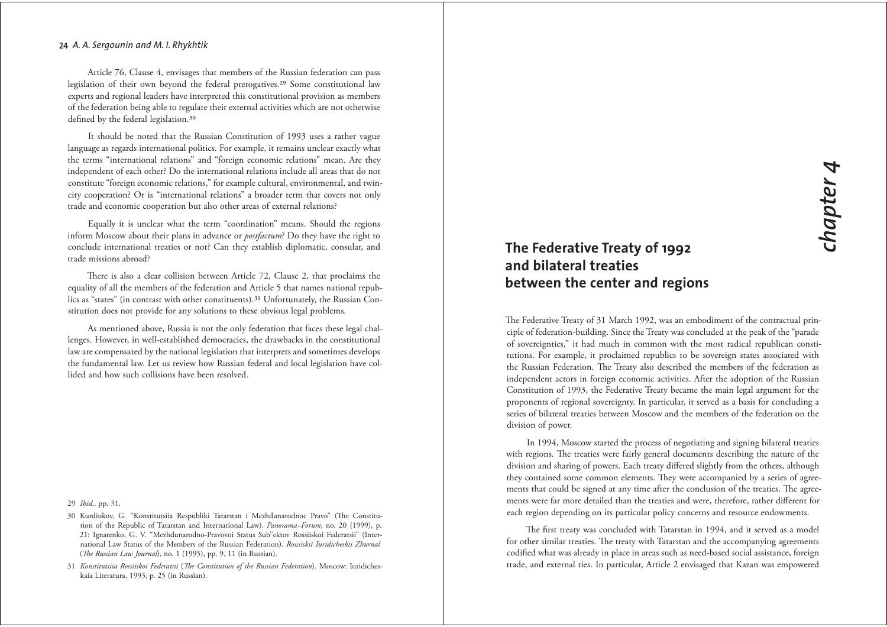Article 76, Clause 4, envisages that members of the Russian federation can pass legislation of their own beyond the federal prerogatives.<sup>29</sup> Some constitutional law experts and regional leaders have interpreted this constitutional provision as members of the federation being able to regulate their external activities which are not otherwise defined by the federal legislation.<sup>30</sup>

It should be noted that the Russian Constitution of 1993 uses a rather vague language as regards international politics. For example, it remains unclear exactly what the terms "international relations" and "foreign economic relations" mean. Are they independent of each other? Do the international relations include all areas that do not constitute "foreign economic relations," for example cultural, environmental, and twincity cooperation? Or is "international relations" a broader term that covers not only trade and economic cooperation but also other areas of external relations?

Equally it is unclear what the term "coordination" means. Should the regions inform Moscow about their plans in advance or *postfactum*? Do they have the right to conclude international treaties or not? Can they establish diplomatic, consular, and trade missions abroad?

There is also a clear collision between Article 72, Clause 2, that proclaims the equality of all the members of the federation and Article 5 that names national republics as "states" (in contrast with other constituents).<sup>31</sup> Unfortunately, the Russian Constitution does not provide for any solutions to these obvious legal problems.

As mentioned above, Russia is not the only federation that faces these legal challenges. However, in well-established democracies, the drawbacks in the constitutional law are compensated by the national legislation that interprets and sometimes develops the fundamental law. Let us review how Russian federal and local legislation have collided and how such collisions have been resolved.

#### 29 Ibid., pp. 31.

# The Federative Treaty of 1992 and bilateral treaties between the center and regions

The Federative Treaty of 31 March 1992, was an embodiment of the contractual principle of federation-building. Since the Treaty was concluded at the peak of the "parade of sovereignties," it had much in common with the most radical republican constitutions. For example, it proclaimed republics to be sovereign states associated with the Russian Federation. The Treaty also described the members of the federation as independent actors in foreign economic activities. After the adoption of the Russian Constitution of 1993, the Federative Treaty became the main legal argument for the proponents of regional sovereignty. In particular, it served as a basis for concluding a series of bilateral treaties between Moscow and the members of the federation on the division of power.

In 1994, Moscow started the process of negotiating and signing bilateral treaties with regions. The treaties were fairly general documents describing the nature of the division and sharing of powers. Each treaty differed slightly from the others, although they contained some common elements. They were accompanied by a series of agreements that could be signed at any time after the conclusion of the treaties. The agreements were far more detailed than the treaties and were, therefore, rather different for each region depending on its particular policy concerns and resource endowments.

The first treaty was concluded with Tatarstan in 1994, and it served as a model for other similar treaties. The treaty with Tatarstan and the accompanying agreements codified what was already in place in areas such as need-based social assistance, foreign trade, and external ties. In particular, Article 2 envisaged that Kazan was empowered

<sup>30</sup> Kurdiukov, G. "Konstitutsiia Respubliki Tatarstan i Mezhdunarodnoe Pravo" (The Constitution of the Republic of Tatarstan and International Law). *Panorama-Forum*, no. 20 (1999), p. 21; Ignatenko, G. V. "Mezhdunarodno-Pravovoi Status Sub"ektov Rossiiskoi Federatsii" (International Law Status of the Members of the Russian Federation). Rossiiskii Iuridicheskii Zhurnal (*The Russian Law Journal*), no. 1 (1995), pp. 9, 11 (in Russian).

<sup>31</sup> Konstitutsiia Rossiiskoi Federatsii (The Constitution of the Russian Federation). Moscow: Iuridicheskaia Literatura, 1993, p. 25 (in Russian).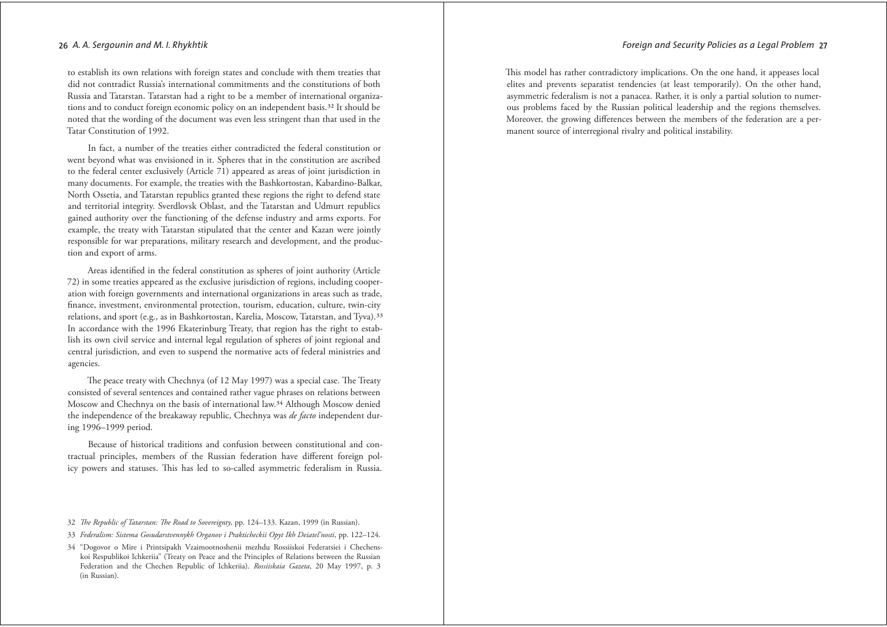to establish its own relations with foreign states and conclude with them treaties that did not contradict Russia's international commitments and the constitutions of both Russia and Tatarstan. Tatarstan had a right to be a member of international organizations and to conduct foreign economic policy on an independent basis.<sup>32</sup> It should be noted that the wording of the document was even less stringent than that used in the Tatar Constitution of 1992.

In fact, a number of the treaties either contradicted the federal constitution or went beyond what was envisioned in it. Spheres that in the constitution are ascribed to the federal center exclusively (Article 71) appeared as areas of joint jurisdiction in many documents. For example, the treaties with the Bashkortostan, Kabardino-Balkar, North Ossetia, and Tatarstan republics granted these regions the right to defend state and territorial integrity. Sverdlovsk Oblast, and the Tatarstan and Udmurt republics gained authority over the functioning of the defense industry and arms exports. For example, the treaty with Tatarstan stipulated that the center and Kazan were jointly responsible for war preparations, military research and development, and the production and export of arms.

Areas identified in the federal constitution as spheres of joint authority (Article 72) in some treaties appeared as the exclusive jurisdiction of regions, including cooperation with foreign governments and international organizations in areas such as trade, finance, investment, environmental protection, tourism, education, culture, twin-city relations, and sport (e.g., as in Bashkortostan, Karelia, Moscow, Tatarstan, and Tyva).<sup>33</sup> In accordance with the 1996 Ekaterinburg Treaty, that region has the right to establish its own civil service and internal legal regulation of spheres of joint regional and central jurisdiction, and even to suspend the normative acts of federal ministries and agencies.

The peace treaty with Chechnya (of 12 May 1997) was a special case. The Treaty consisted of several sentences and contained rather vague phrases on relations between Moscow and Chechnya on the basis of international law.<sup>34</sup> Although Moscow denied the independence of the breakaway republic, Chechnya was *de facto* independent during 1996-1999 period.

Because of historical traditions and confusion between constitutional and contractual principles, members of the Russian federation have different foreign policy powers and statuses. This has led to so-called asymmetric federalism in Russia.

- 32 The Republic of Tatarstan: The Road to Sovereignty, pp. 124-133. Kazan, 1999 (in Russian).
- 33 Federalism: Sistema Gosudarstvennykh Organov i Prakticheckii Opyt Ikh Deiateľnosti, pp. 122–124.
- 34 "Dogovor o Mire i Printsipakh Vzaimootnoshenii mezhdu Rossiiskoi Federatsiei i Chechenskoi Respublikoi Ichkeriia" (Treaty on Peace and the Principles of Relations between the Russian Federation and the Chechen Republic of Ichkeriia). Rossiiskaia Gazeta, 20 May 1997, p. 3 (in Russian).

This model has rather contradictory implications. On the one hand, it appeases local elites and prevents separatist tendencies (at least temporarily). On the other hand, asymmetric federalism is not a panacea. Rather, it is only a partial solution to numerous problems faced by the Russian political leadership and the regions themselves. Moreover, the growing differences between the members of the federation are a permanent source of interregional rivalry and political instability.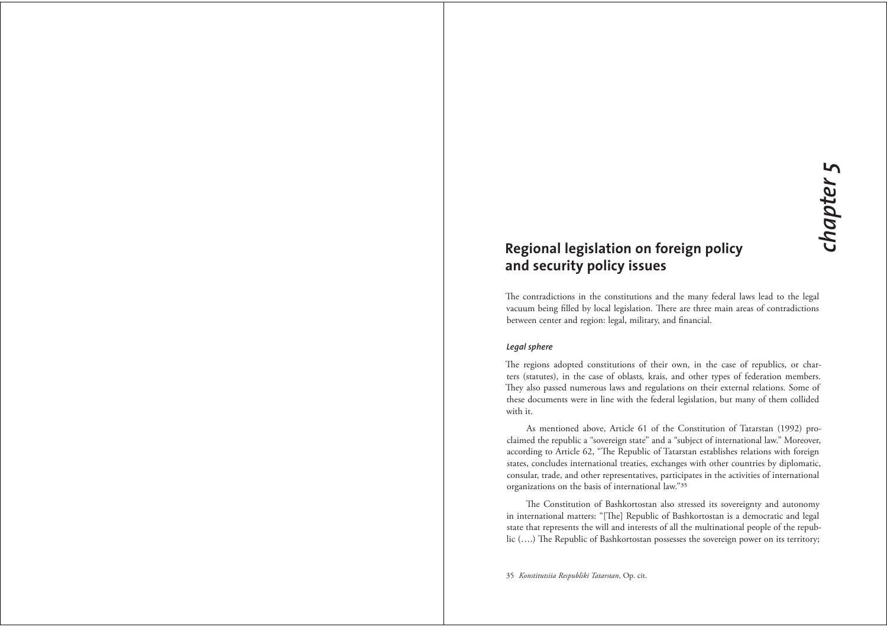# Regional legislation on foreign policy and security policy issues

The contradictions in the constitutions and the many federal laws lead to the legal vacuum being filled by local legislation. There are three main areas of contradictions between center and region: legal, military, and financial.

#### Legal sphere

The regions adopted constitutions of their own, in the case of republics, or charters (statutes), in the case of oblasts, krais, and other types of federation members. They also passed numerous laws and regulations on their external relations. Some of these documents were in line with the federal legislation, but many of them collided with it.

As mentioned above, Article 61 of the Constitution of Tatarstan (1992) proclaimed the republic a "sovereign state" and a "subject of international law." Moreover, according to Article 62, "The Republic of Tatarstan establishes relations with foreign states, concludes international treaties, exchanges with other countries by diplomatic, consular, trade, and other representatives, participates in the activities of international organizations on the basis of international law."35

The Constitution of Bashkortostan also stressed its sovereignty and autonomy in international matters: "[The] Republic of Bashkortostan is a democratic and legal state that represents the will and interests of all the multinational people of the republic (....) The Republic of Bashkortostan possesses the sovereign power on its territory;

35 Konstitutsiia Respubliki Tatarstan, Op. cit.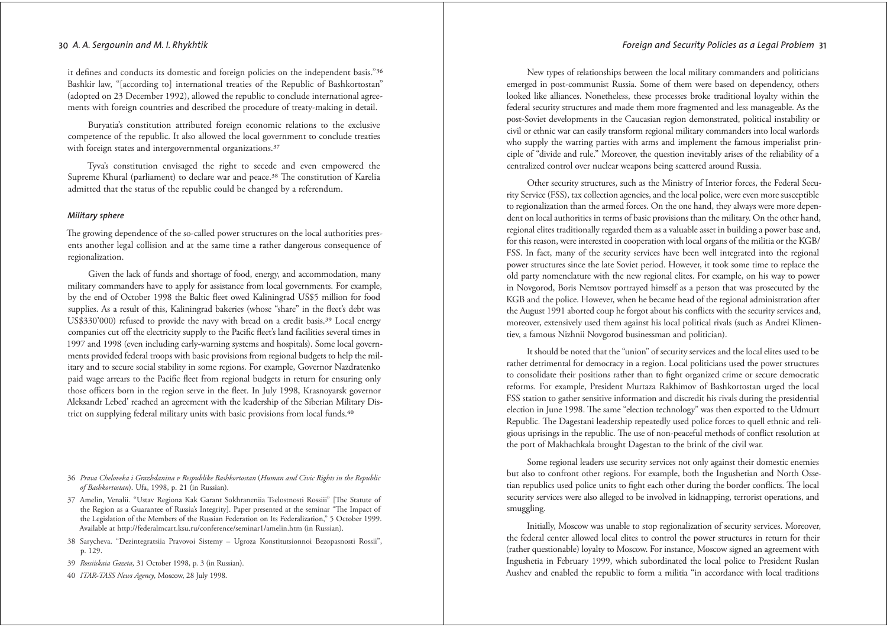#### Foreian and Security Policies as a Leaal Problem 31

#### 30 A. A. Sergounin and M. I. Rhykhtik

it defines and conducts its domestic and foreign policies on the independent basis."36 Bashkir law, "[according to] international treaties of the Republic of Bashkortostan" (adopted on 23 December 1992), allowed the republic to conclude international agreements with foreign countries and described the procedure of treaty-making in detail.

Buryatia's constitution attributed foreign economic relations to the exclusive competence of the republic. It also allowed the local government to conclude treaties with foreign states and intergovernmental organizations.<sup>37</sup>

Tyva's constitution envisaged the right to secede and even empowered the Supreme Khural (parliament) to declare war and peace.<sup>38</sup> The constitution of Karelia admitted that the status of the republic could be changed by a referendum.

#### Military sphere

The growing dependence of the so-called power structures on the local authorities presents another legal collision and at the same time a rather dangerous consequence of regionalization.

Given the lack of funds and shortage of food, energy, and accommodation, many military commanders have to apply for assistance from local governments. For example, by the end of October 1998 the Baltic fleet owed Kaliningrad US\$5 million for food supplies. As a result of this, Kaliningrad bakeries (whose "share" in the fleet's debt was US\$330'000) refused to provide the navy with bread on a credit basis.<sup>39</sup> Local energy companies cut off the electricity supply to the Pacific fleet's land facilities several times in 1997 and 1998 (even including early-warning systems and hospitals). Some local governments provided federal troops with basic provisions from regional budgets to help the military and to secure social stability in some regions. For example, Governor Nazdratenko paid wage arrears to the Pacific fleet from regional budgets in return for ensuring only those officers born in the region serve in the fleet. In July 1998, Krasnoyarsk governor Aleksandr Lebed' reached an agreement with the leadership of the Siberian Military District on supplying federal military units with basic provisions from local funds.<sup>40</sup>

- 36 Prava Cheloveka i Grazhdanina v Respublike Bashkortostan (Human and Civic Rights in the Republic of Bashkortostan). Ufa, 1998, p. 21 (in Russian).
- 37 Amelin, Venalii. "Ustav Regiona Kak Garant Sokhraneniia Tselostnosti Rossiii" [The Statute of the Region as a Guarantee of Russia's Integrity]. Paper presented at the seminar "The Impact of the Legislation of the Members of the Russian Federation on Its Federalization," 5 October 1999 Available at http://federalmcart.ksu.ru/conference/seminar1/amelin.htm (in Russian).
- 38 Sarycheva. "Dezintegratsiia Pravovoi Sistemy Ugroza Konstitutsionnoi Bezopasnosti Rossii". p. 129.
- 39 Rossiiskaia Gazeta, 31 October 1998, p. 3 (in Russian).
- 40 ITAR-TASS News Agency, Moscow, 28 July 1998.

New types of relationships between the local military commanders and politicians emerged in post-communist Russia. Some of them were based on dependency, others looked like alliances. Nonetheless, these processes broke traditional loyalty within the federal security structures and made them more fragmented and less manageable. As the post-Soviet developments in the Caucasian region demonstrated, political instability or civil or ethnic war can easily transform regional military commanders into local warlords who supply the warring parties with arms and implement the famous imperialist principle of "divide and rule." Moreover, the question inevitably arises of the reliability of a centralized control over nuclear weapons being scattered around Russia.

Other security structures, such as the Ministry of Interior forces, the Federal Security Service (FSS), tax collection agencies, and the local police, were even more susceptible to regionalization than the armed forces. On the one hand, they always were more dependent on local authorities in terms of basic provisions than the military. On the other hand, regional elites traditionally regarded them as a valuable asset in building a power base and, for this reason, were interested in cooperation with local organs of the militia or the KGB/ FSS. In fact, many of the security services have been well integrated into the regional power structures since the late Soviet period. However, it took some time to replace the old party nomenclature with the new regional elites. For example, on his way to power in Novgorod, Boris Nemtsov portrayed himself as a person that was prosecuted by the KGB and the police. However, when he became head of the regional administration after the August 1991 aborted coup he forgot about his conflicts with the security services and, moreover, extensively used them against his local political rivals (such as Andrei Klimentiev, a famous Nizhnii Novgorod businessman and politician).

It should be noted that the "union" of security services and the local elites used to be rather detrimental for democracy in a region. Local politicians used the power structures to consolidate their positions rather than to fight organized crime or secure democratic reforms. For example, President Murtaza Rakhimov of Bashkortostan urged the local FSS station to gather sensitive information and discredit his rivals during the presidential election in June 1998. The same "election technology" was then exported to the Udmurt Republic. The Dagestani leadership repeatedly used police forces to quell ethnic and religious uprisings in the republic. The use of non-peaceful methods of conflict resolution at the port of Makhachkala brought Dagestan to the brink of the civil war.

Some regional leaders use security services not only against their domestic enemies but also to confront other regions. For example, both the Ingushetian and North Ossetian republics used police units to fight each other during the border conflicts. The local security services were also alleged to be involved in kidnapping, terrorist operations, and smuggling.

Initially, Moscow was unable to stop regionalization of security services. Moreover, the federal center allowed local elites to control the power structures in return for their (rather questionable) loyalty to Moscow. For instance, Moscow signed an agreement with Ingushetia in February 1999, which subordinated the local police to President Ruslan Aushev and enabled the republic to form a militia "in accordance with local traditions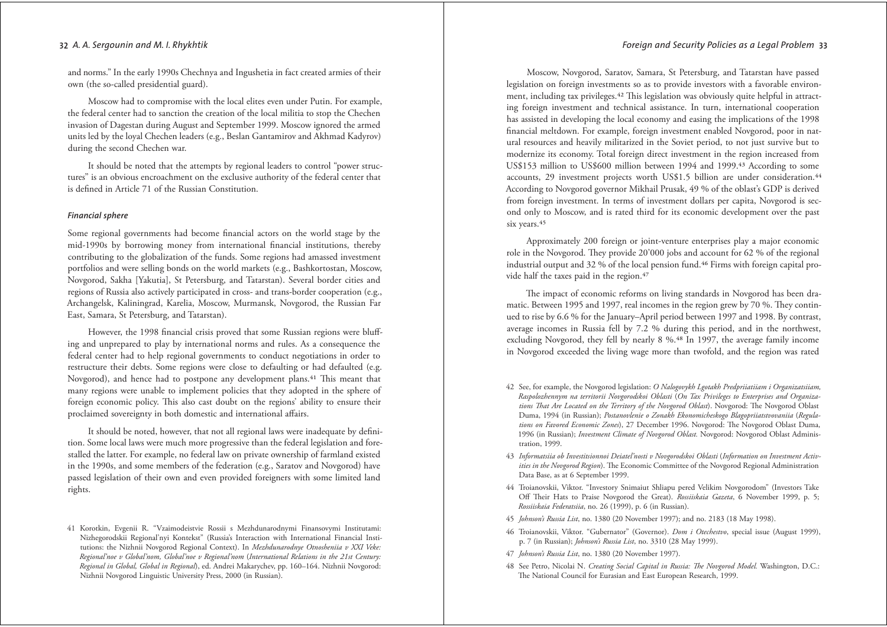#### Foreian and Security Policies as a Leagl Problem 33

#### 32 A. A. Sergounin and M. I. Rhykhtik

and norms." In the early 1990s Chechnya and Ingushetia in fact created armies of their own (the so-called presidential guard).

Moscow had to compromise with the local elites even under Putin. For example, the federal center had to sanction the creation of the local militia to stop the Chechen invasion of Dagestan during August and September 1999. Moscow ignored the armed units led by the loyal Chechen leaders (e.g., Beslan Gantamirov and Akhmad Kadyrov) during the second Chechen war.

It should be noted that the attempts by regional leaders to control "power structures" is an obvious encroachment on the exclusive authority of the federal center that is defined in Article 71 of the Russian Constitution.

#### **Financial sphere**

Some regional governments had become financial actors on the world stage by the mid-1990s by borrowing money from international financial institutions, thereby contributing to the globalization of the funds. Some regions had amassed investment portfolios and were selling bonds on the world markets (e.g., Bashkortostan, Moscow, Novgorod, Sakha [Yakutia], St Petersburg, and Tatarstan). Several border cities and regions of Russia also actively participated in cross- and trans-border cooperation (e.g., Archangelsk, Kaliningrad, Karelia, Moscow, Murmansk, Novgorod, the Russian Far East, Samara, St Petersburg, and Tatarstan).

However, the 1998 financial crisis proved that some Russian regions were bluffing and unprepared to play by international norms and rules. As a consequence the federal center had to help regional governments to conduct negotiations in order to restructure their debts. Some regions were close to defaulting or had defaulted (e.g. Novgorod), and hence had to postpone any development plans.<sup>41</sup> This meant that many regions were unable to implement policies that they adopted in the sphere of foreign economic policy. This also cast doubt on the regions' ability to ensure their proclaimed sovereignty in both domestic and international affairs.

It should be noted, however, that not all regional laws were inadequate by definition. Some local laws were much more progressive than the federal legislation and forestalled the latter. For example, no federal law on private ownership of farmland existed in the 1990s, and some members of the federation (e.g., Saratov and Novgorod) have passed legislation of their own and even provided foreigners with some limited land rights.

Moscow, Novgorod, Saratov, Samara, St Petersburg, and Tatarstan have passed legislation on foreign investments so as to provide investors with a favorable environment, including tax privileges.<sup>42</sup> This legislation was obviously quite helpful in attracting foreign investment and technical assistance. In turn, international cooperation has assisted in developing the local economy and easing the implications of the 1998 financial meltdown. For example, foreign investment enabled Novgorod, poor in natural resources and heavily militarized in the Soviet period, to not just survive but to modernize its economy. Total foreign direct investment in the region increased from US\$153 million to US\$600 million between 1994 and 1999.<sup>43</sup> According to some accounts, 29 investment projects worth US\$1.5 billion are under consideration.<sup>44</sup> According to Novgorod governor Mikhail Prusak, 49 % of the oblast's GDP is derived from foreign investment. In terms of investment dollars per capita, Novgorod is second only to Moscow, and is rated third for its economic development over the past six years.<sup>45</sup>

Approximately 200 foreign or joint-venture enterprises play a major economic role in the Novgorod. They provide 20'000 jobs and account for 62 % of the regional industrial output and 32 % of the local pension fund.<sup>46</sup> Firms with foreign capital provide half the taxes paid in the region.<sup>47</sup>

The impact of economic reforms on living standards in Novgorod has been dramatic. Between 1995 and 1997, real incomes in the region grew by 70 %. They continued to rise by 6.6 % for the January-April period between 1997 and 1998. By contrast, average incomes in Russia fell by 7.2 % during this period, and in the northwest, excluding Novgorod, they fell by nearly 8 %.<sup>48</sup> In 1997, the average family income in Novgorod exceeded the living wage more than twofold, and the region was rated

- 42 See, for example, the Novgorod legislation: O Nalogovykh Lgotakh Predpriiatiiam i Organizatsiiam, Raspolozhennym na territorii Novgorodskoi Oblasti (On Tax Privileges to Enterprises and Organizations That Are Located on the Territory of the Novgorod Oblast). Novgorod: The Novgorod Oblast Duma, 1994 (in Russian); Postanovlenie o Zonakh Ekonomicheskogo Blagopriiatstvovaniia (Regulations on Favored Economic Zones), 27 December 1996. Novgorod: The Novgorod Oblast Duma, 1996 (in Russian); *Investment Climate of Novgorod Oblast*. Novgorod: Novgorod Oblast Administration, 1999.
- 43 Informatsiia ob Investitsionnoi Deiatel'nosti v Novgorodskoi Oblasti (Information on Investment Activities in the Novgorod Region). The Economic Committee of the Novgorod Regional Administration Data Base, as at 6 September 1999.
- 44 Troianovskii, Viktor. "Investory Snimaiut Shliapu pered Velikim Novgorodom" (Investors Take Off Their Hats to Praise Novgorod the Great). Rossiiskaia Gazeta, 6 November 1999, p. 5; Rossiiskaia Federatsiia, no. 26 (1999), p. 6 (in Russian).
- 45 Johnson's Russia List, no. 1380 (20 November 1997); and no. 2183 (18 May 1998).
- 46 Troianovskii, Viktor. "Gubernator" (Governor). Dom i Otechestvo, special issue (August 1999), p. 7 (in Russian); Johnson's Russia List, no. 3310 (28 May 1999).
- 47 Johnson's Russia List, no. 1380 (20 November 1997).
- 48 See Petro, Nicolai N. Creating Social Capital in Russia: The Novgorod Model. Washington, D.C.: The National Council for Eurasian and East European Research, 1999.

<sup>41</sup> Korotkin, Evgenii R. "Vzaimodeistvie Rossii s Mezhdunarodnymi Finansovymi Institutami: Nizhegorodskii Regional'nyi Kontekst" (Russia's Interaction with International Financial Institutions: the Nizhnii Novgorod Regional Context). In Mezhdunarodnye Otnosheniia v XXI Veke: Regional'noe v Global'nom, Global'noe v Regional'nom (International Relations in the 21st Century: Regional in Global, Global in Regional), ed. Andrei Makarychev, pp. 160-164. Nizhnii Novgorod: Nizhnii Novgorod Linguistic University Press, 2000 (in Russian).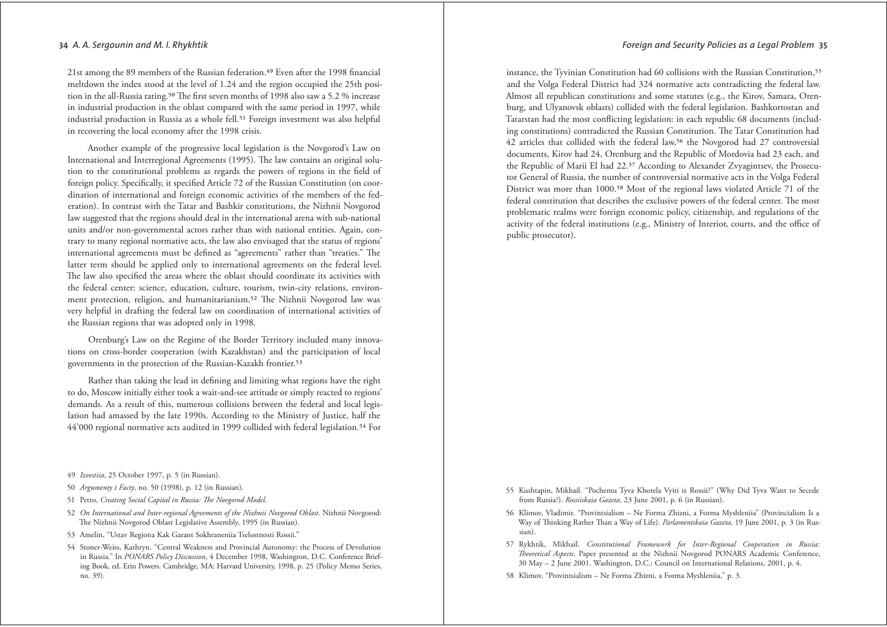21st among the 89 members of the Russian federation.<sup>49</sup> Even after the 1998 financial meltdown the index stood at the level of 1.24 and the region occupied the 25th position in the all-Russia rating.<sup>50</sup> The first seven months of 1998 also saw a 5.2 % increase in industrial production in the oblast compared with the same period in 1997, while industrial production in Russia as a whole fell.<sup>51</sup> Foreign investment was also helpful in recovering the local economy after the 1998 crisis.

Another example of the progressive local legislation is the Novgorod's Law on International and Interregional Agreements (1995). The law contains an original solution to the constitutional problems as regards the powers of regions in the field of foreign policy. Specifically, it specified Article 72 of the Russian Constitution (on coordination of international and foreign economic activities of the members of the federation). In contrast with the Tatar and Bashkir constitutions, the Nizhnii Novgorod law suggested that the regions should deal in the international arena with sub-national units and/or non-governmental actors rather than with national entities. Again, contrary to many regional normative acts, the law also envisaged that the status of regions' international agreements must be defined as "agreements" rather than "treaties." The latter term should be applied only to international agreements on the federal level. The law also specified the areas where the oblast should coordinate its activities with the federal center: science, education, culture, tourism, twin-city relations, environment protection, religion, and humanitarianism.<sup>52</sup> The Nizhnii Novgorod law was very helpful in drafting the federal law on coordination of international activities of the Russian regions that was adopted only in 1998.

Orenburg's Law on the Regime of the Border Territory included many innovations on cross-border cooperation (with Kazakhstan) and the participation of local governments in the protection of the Russian-Kazakh frontier.<sup>53</sup>

Rather than taking the lead in defining and limiting what regions have the right to do, Moscow initially either took a wait-and-see attitude or simply reacted to regions' demands. As a result of this, numerous collisions between the federal and local legislation had amassed by the late 1990s. According to the Ministry of Justice, half the 44'000 regional normative acts audited in 1999 collided with federal legislation.<sup>54</sup> For

- 49 Izvestiia, 25 October 1997, p. 5 (in Russian).
- 50 Argumenty i Facty, no. 50 (1998), p. 12 (in Russian).
- 51 Petro, Creating Social Capital in Russia: The Novgorod Model.
- 52 On International and Inter-regional Agreements of the Nizhnii Novgorod Oblast. Nizhnii Novgorod: The Nizhnii Novgorod Oblast Legislative Assembly, 1995 (in Russian).
- 53 Amelin, "Ustav Regiona Kak Garant Sokhraneniia Tselostnosti Rossii."
- 54 Stoner-Weiss, Kathryn. "Central Weakness and Provincial Autonomy: the Process of Devolution in Russia." In PONARS Policy Discussion, 4 December 1998, Washington, D.C. Conference Briefing Book, ed. Erin Powers. Cambridge, MA: Harvard University, 1998, p. 25 (Policy Memo Series, no. 39).

instance, the Tyvinian Constitution had 60 collisions with the Russian Constitution,<sup>55</sup> and the Volga Federal District had 324 normative acts contradicting the federal law. Almost all republican constitutions and some statutes (e.g., the Kirov, Samara, Orenburg, and Ulyanovsk oblasts) collided with the federal legislation. Bashkortostan and Tatarstan had the most conflicting legislation: in each republic 68 documents (including constitutions) contradicted the Russian Constitution. The Tatar Constitution had 42 articles that collided with the federal law,<sup>56</sup> the Novgorod had 27 controversial documents, Kirov had 24, Orenburg and the Republic of Mordovia had 23 each, and the Republic of Marii El had 22.57 According to Alexander Zyyagintsey, the Prosecutor General of Russia, the number of controversial normative acts in the Volga Federal District was more than 1000.<sup>58</sup> Most of the regional laws violated Article 71 of the federal constitution that describes the exclusive powers of the federal center. The most problematic realms were foreign economic policy, citizenship, and regulations of the activity of the federal institutions (e.g., Ministry of Interior, courts, and the office of public prosecutor).

- 55 Kushtapin, Mikhail. "Pochemu Tyva Khotela Vyiti iz Rossii?" (Why Did Tyva Want to Secede from Russia?). Rossiiskaia Gazeta, 23 June 2001, p. 6 (in Russian).
- 56 Klimov, Vladimir. "Provintsialism Ne Forma Zhizni, a Forma Myshleniia" (Provincialism Is a Way of Thinking Rather Than a Way of Life). Parlamentskaia Gazeta, 19 June 2001, p. 3 (in Russian).
- 57 Rykhtik, Mikhail. Constitutional Framework for Inter-Regional Cooperation in Russia: Theoretical Aspects. Paper presented at the Nizhnii Novgorod PONARS Academic Conference, 30 May - 2 June 2001. Washington, D.C.: Council on International Relations, 2001, p. 4.
- 58 Klimov, "Provintsialism Ne Forma Zhizni, a Forma Myshleniia," p. 3.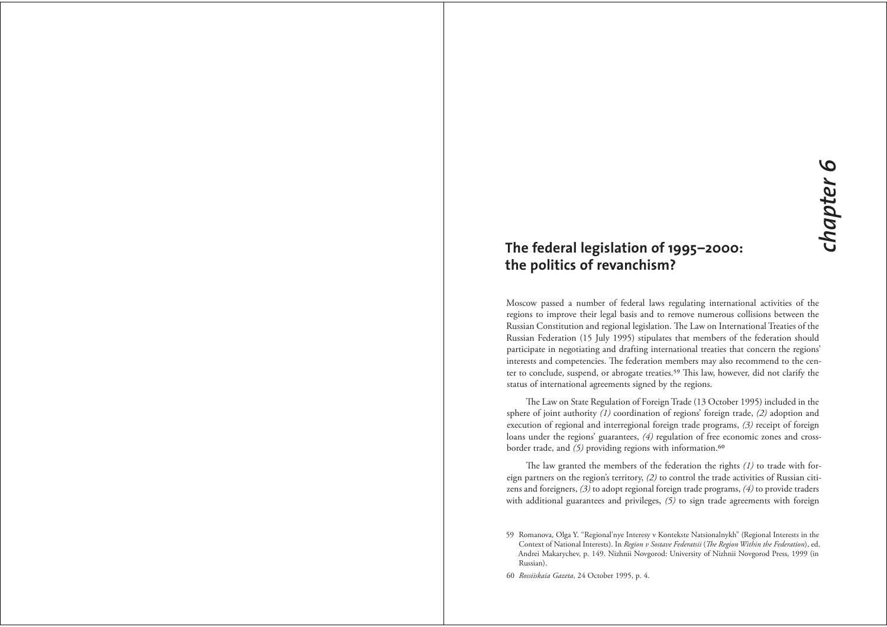# The federal legislation of 1995-2000: the politics of revanchism?

Moscow passed a number of federal laws regulating international activities of the regions to improve their legal basis and to remove numerous collisions between the Russian Constitution and regional legislation. The Law on International Treaties of the Russian Federation (15 July 1995) stipulates that members of the federation should participate in negotiating and drafting international treaties that concern the regions' interests and competencies. The federation members may also recommend to the center to conclude, suspend, or abrogate treaties.<sup>59</sup> This law, however, did not clarify the status of international agreements signed by the regions.

The Law on State Regulation of Foreign Trade (13 October 1995) included in the sphere of joint authority  $(1)$  coordination of regions' foreign trade,  $(2)$  adoption and execution of regional and interregional foreign trade programs,  $(3)$  receipt of foreign loans under the regions' guarantees, (4) regulation of free economic zones and crossborder trade, and (5) providing regions with information.<sup>60</sup>

The law granted the members of the federation the rights  $(1)$  to trade with foreign partners on the region's territory, (2) to control the trade activities of Russian citizens and foreigners,  $(3)$  to adopt regional foreign trade programs,  $(4)$  to provide traders with additional guarantees and privileges,  $(5)$  to sign trade agreements with foreign

60 Rossiiskaia Gazeta, 24 October 1995, p. 4.

<sup>59</sup> Romanova, Olga Y. "Regional'nye Interesy y Kontekste Natsionalnykh" (Regional Interests in the Context of National Interests). In Region v Sostave Federatsii (The Region Within the Federation), ed. Andrei Makarychev, p. 149. Nizhnii Novgorod: University of Nizhnii Novgorod Press, 1999 (in Russian).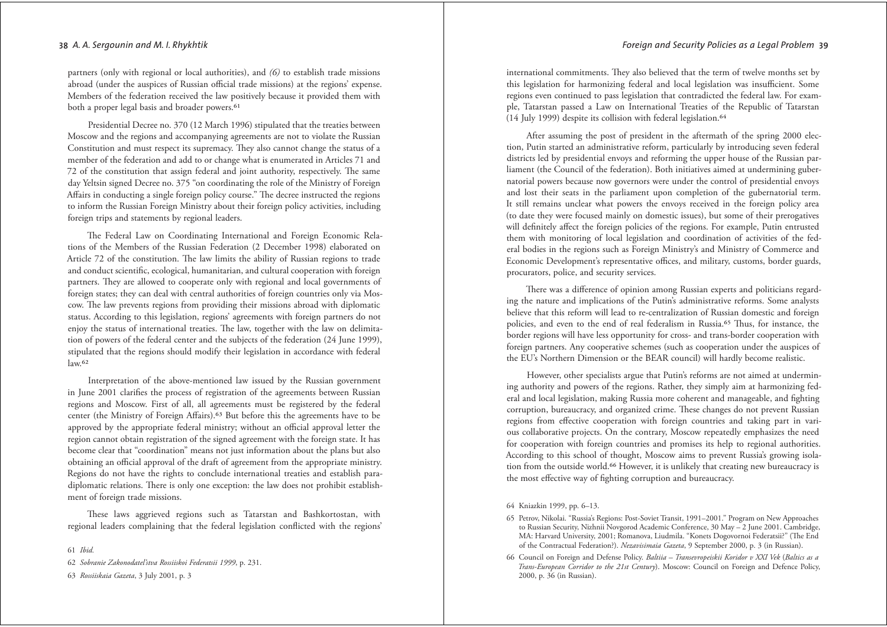partners (only with regional or local authorities), and  $(6)$  to establish trade missions abroad (under the auspices of Russian official trade missions) at the regions' expense. Members of the federation received the law positively because it provided them with both a proper legal basis and broader powers.<sup>61</sup>

Presidential Decree no. 370 (12 March 1996) stipulated that the treaties between Moscow and the regions and accompanying agreements are not to violate the Russian Constitution and must respect its supremacy. They also cannot change the status of a member of the federation and add to or change what is enumerated in Articles 71 and 72 of the constitution that assign federal and joint authority, respectively. The same day Yeltsin signed Decree no. 375 "on coordinating the role of the Ministry of Foreign Affairs in conducting a single foreign policy course." The decree instructed the regions to inform the Russian Foreign Ministry about their foreign policy activities, including foreign trips and statements by regional leaders.

The Federal Law on Coordinating International and Foreign Economic Relations of the Members of the Russian Federation (2 December 1998) elaborated on Article 72 of the constitution. The law limits the ability of Russian regions to trade and conduct scientific, ecological, humanitarian, and cultural cooperation with foreign partners. They are allowed to cooperate only with regional and local governments of foreign states; they can deal with central authorities of foreign countries only via Moscow. The law prevents regions from providing their missions abroad with diplomatic status. According to this legislation, regions' agreements with foreign partners do not enjoy the status of international treaties. The law, together with the law on delimitation of powers of the federal center and the subjects of the federation (24 June 1999), stipulated that the regions should modify their legislation in accordance with federal  $law.62$ 

Interpretation of the above-mentioned law issued by the Russian government in June 2001 clarifies the process of registration of the agreements between Russian regions and Moscow. First of all, all agreements must be registered by the federal center (the Ministry of Foreign Affairs).<sup>63</sup> But before this the agreements have to be approved by the appropriate federal ministry; without an official approval letter the region cannot obtain registration of the signed agreement with the foreign state. It has become clear that "coordination" means not just information about the plans but also obtaining an official approval of the draft of agreement from the appropriate ministry. Regions do not have the rights to conclude international treaties and establish paradiplomatic relations. There is only one exception: the law does not prohibit establishment of foreign trade missions.

These laws aggrieved regions such as Tatarstan and Bashkortostan, with regional leaders complaining that the federal legislation conflicted with the regions'

61 Ibid.

62 Sobranie Zakonodateľstva Rossiiskoi Federatsii 1999, p. 231.

63 Rossiiskaia Gazeta, 3 July 2001, p. 3

international commitments. They also believed that the term of twelve months set by this legislation for harmonizing federal and local legislation was insufficient. Some regions even continued to pass legislation that contradicted the federal law. For example, Tatarstan passed a Law on International Treaties of the Republic of Tatarstan (14 July 1999) despite its collision with federal legislation.<sup>64</sup>

After assuming the post of president in the aftermath of the spring 2000 election, Putin started an administrative reform, particularly by introducing seven federal districts led by presidential envoys and reforming the upper house of the Russian parliament (the Council of the federation). Both initiatives aimed at undermining gubernatorial powers because now governors were under the control of presidential envoys and lost their seats in the parliament upon completion of the gubernatorial term. It still remains unclear what powers the envoys received in the foreign policy area (to date they were focused mainly on domestic issues), but some of their prerogatives will definitely affect the foreign policies of the regions. For example, Putin entrusted them with monitoring of local legislation and coordination of activities of the federal bodies in the regions such as Foreign Ministry's and Ministry of Commerce and Economic Development's representative offices, and military, customs, border guards, procurators, police, and security services.

There was a difference of opinion among Russian experts and politicians regarding the nature and implications of the Putin's administrative reforms. Some analysts believe that this reform will lead to re-centralization of Russian domestic and foreign policies, and even to the end of real federalism in Russia.<sup>65</sup> Thus, for instance, the border regions will have less opportunity for cross- and trans-border cooperation with foreign partners. Any cooperative schemes (such as cooperation under the auspices of the EU's Northern Dimension or the BEAR council) will hardly become realistic.

However, other specialists argue that Putin's reforms are not aimed at undermining authority and powers of the regions. Rather, they simply aim at harmonizing federal and local legislation, making Russia more coherent and manageable, and fighting corruption, bureaucracy, and organized crime. These changes do not prevent Russian regions from effective cooperation with foreign countries and taking part in various collaborative projects. On the contrary, Moscow repeatedly emphasizes the need for cooperation with foreign countries and promises its help to regional authorities. According to this school of thought, Moscow aims to prevent Russia's growing isolation from the outside world.<sup>66</sup> However, it is unlikely that creating new bureaucracy is the most effective way of fighting corruption and bureaucracy.

64 Kniazkin 1999, pp. 6-13.

- 65 Petrov, Nikolai. "Russia's Regions: Post-Soviet Transit, 1991-2001." Program on New Approaches to Russian Security, Nizhnii Novgorod Academic Conference, 30 May - 2 June 2001. Cambridge, MA: Harvard University, 2001; Romanova, Liudmila. "Konets Dogovornoi Federatsii?" (The End of the Contractual Federation?). Nezavisimaia Gazeta, 9 September 2000, p. 3 (in Russian).
- 66 Council on Foreign and Defense Policy. Baltiia Transevropeiskii Koridor v XXI Vek (Baltics as a Trans-European Corridor to the 21st Century). Moscow: Council on Foreign and Defence Policy, 2000, p. 36 (in Russian).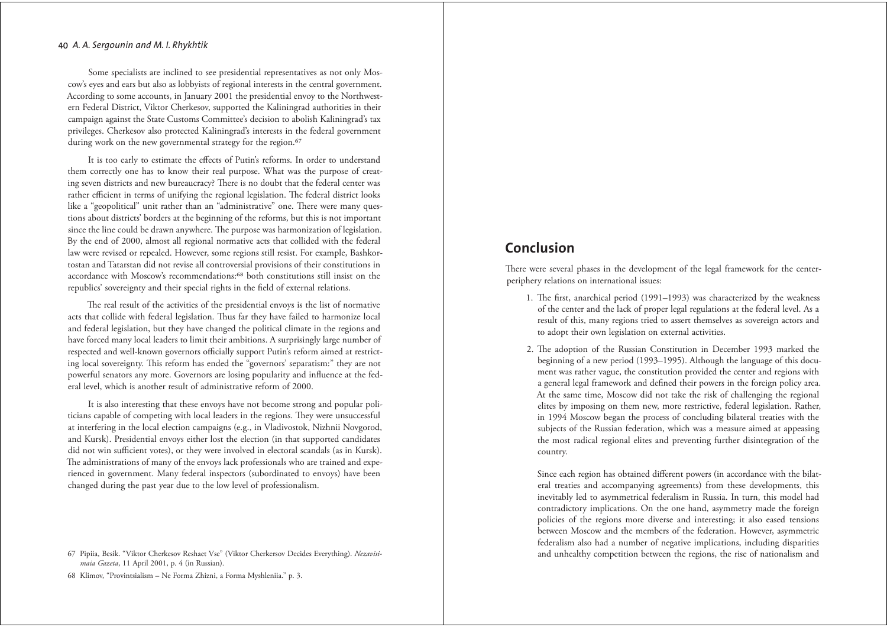Some specialists are inclined to see presidential representatives as not only Moscow's eyes and ears but also as lobbyists of regional interests in the central government. According to some accounts, in January 2001 the presidential envoy to the Northwestern Federal District, Viktor Cherkesov, supported the Kaliningrad authorities in their campaign against the State Customs Committee's decision to abolish Kaliningrad's tax privileges. Cherkesov also protected Kaliningrad's interests in the federal government during work on the new governmental strategy for the region.<sup>67</sup>

It is too early to estimate the effects of Putin's reforms. In order to understand them correctly one has to know their real purpose. What was the purpose of creating seven districts and new bureaucracy? There is no doubt that the federal center was rather efficient in terms of unifying the regional legislation. The federal district looks like a "geopolitical" unit rather than an "administrative" one. There were many questions about districts' borders at the beginning of the reforms, but this is not important since the line could be drawn anywhere. The purpose was harmonization of legislation. By the end of 2000, almost all regional normative acts that collided with the federal law were revised or repealed. However, some regions still resist. For example, Bashkortostan and Tatarstan did not revise all controversial provisions of their constitutions in accordance with Moscow's recommendations:<sup>68</sup> both constitutions still insist on the republics' sovereignty and their special rights in the field of external relations.

The real result of the activities of the presidential envoys is the list of normative acts that collide with federal legislation. Thus far they have failed to harmonize local and federal legislation, but they have changed the political climate in the regions and have forced many local leaders to limit their ambitions. A surprisingly large number of respected and well-known governors officially support Putin's reform aimed at restricting local sovereignty. This reform has ended the "governors' separatism:" they are not powerful senators any more. Governors are losing popularity and influence at the federal level, which is another result of administrative reform of 2000.

It is also interesting that these envoys have not become strong and popular politicians capable of competing with local leaders in the regions. They were unsuccessful at interfering in the local election campaigns (e.g., in Vladivostok, Nizhnii Novgorod, and Kursk). Presidential envoys either lost the election (in that supported candidates did not win sufficient votes), or they were involved in electoral scandals (as in Kursk). The administrations of many of the envoys lack professionals who are trained and experienced in government. Many federal inspectors (subordinated to envoys) have been changed during the past year due to the low level of professionalism.

68 Klimov, "Provintsialism - Ne Forma Zhizni, a Forma Myshleniia." p. 3.

## Conclusion

There were several phases in the development of the legal framework for the centerperiphery relations on international issues:

- 1. The first, anarchical period (1991-1993) was characterized by the weakness of the center and the lack of proper legal regulations at the federal level. As a result of this, many regions tried to assert themselves as sovereign actors and to adopt their own legislation on external activities.
- 2. The adoption of the Russian Constitution in December 1993 marked the beginning of a new period (1993–1995). Although the language of this document was rather vague, the constitution provided the center and regions with a general legal framework and defined their powers in the foreign policy area. At the same time, Moscow did not take the risk of challenging the regional elites by imposing on them new, more restrictive, federal legislation. Rather, in 1994 Moscow began the process of concluding bilateral treaties with the subjects of the Russian federation, which was a measure aimed at appeasing the most radical regional elites and preventing further disintegration of the country.

Since each region has obtained different powers (in accordance with the bilateral treaties and accompanying agreements) from these developments, this inevitably led to asymmetrical federalism in Russia. In turn, this model had contradictory implications. On the one hand, asymmetry made the foreign policies of the regions more diverse and interesting; it also eased tensions between Moscow and the members of the federation. However, asymmetric federalism also had a number of negative implications, including disparities and unhealthy competition between the regions, the rise of nationalism and

<sup>67</sup> Pipiia, Besik. "Viktor Cherkesov Reshaet Vse" (Viktor Cherkersov Decides Everything). Nezavisimaia Gazeta, 11 April 2001, p. 4 (in Russian).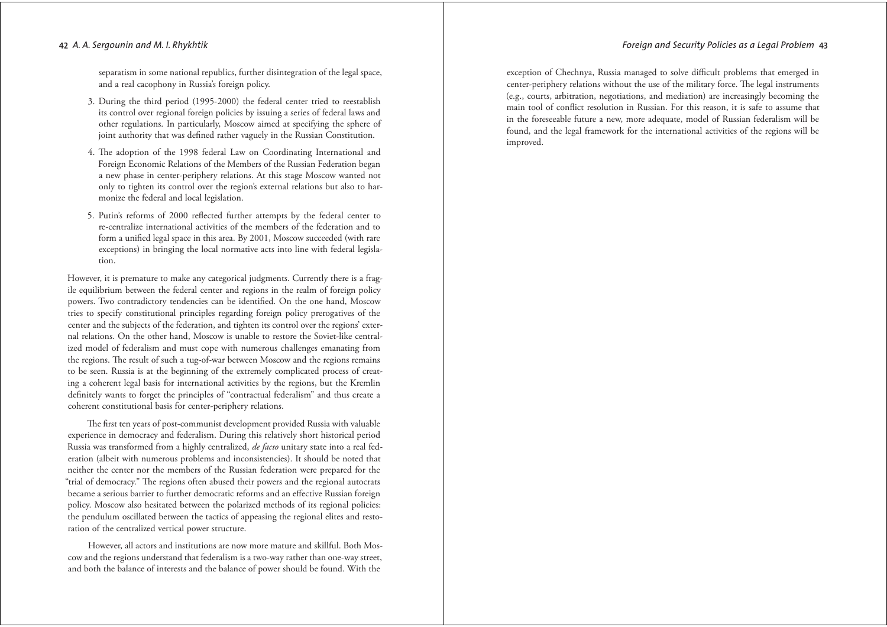separatism in some national republics, further disintegration of the legal space, and a real cacophony in Russia's foreign policy.

- 3. During the third period (1995-2000) the federal center tried to reestablish its control over regional foreign policies by issuing a series of federal laws and other regulations. In particularly, Moscow aimed at specifying the sphere of joint authority that was defined rather vaguely in the Russian Constitution.
- 4. The adoption of the 1998 federal Law on Coordinating International and Foreign Economic Relations of the Members of the Russian Federation began a new phase in center-periphery relations. At this stage Moscow wanted not only to tighten its control over the region's external relations but also to harmonize the federal and local legislation.
- 5. Putin's reforms of 2000 reflected further attempts by the federal center to re-centralize international activities of the members of the federation and to form a unified legal space in this area. By 2001, Moscow succeeded (with rare exceptions) in bringing the local normative acts into line with federal legislation.

However, it is premature to make any categorical judgments. Currently there is a fragile equilibrium between the federal center and regions in the realm of foreign policy powers. Two contradictory tendencies can be identified. On the one hand, Moscow tries to specify constitutional principles regarding foreign policy prerogatives of the center and the subjects of the federation, and tighten its control over the regions' external relations. On the other hand, Moscow is unable to restore the Soviet-like centralized model of federalism and must cope with numerous challenges emanating from the regions. The result of such a tug-of-war between Moscow and the regions remains to be seen. Russia is at the beginning of the extremely complicated process of creating a coherent legal basis for international activities by the regions, but the Kremlin definitely wants to forget the principles of "contractual federalism" and thus create a coherent constitutional basis for center-periphery relations.

The first ten years of post-communist development provided Russia with valuable experience in democracy and federalism. During this relatively short historical period Russia was transformed from a highly centralized, de facto unitary state into a real federation (albeit with numerous problems and inconsistencies). It should be noted that neither the center nor the members of the Russian federation were prepared for the "trial of democracy." The regions often abused their powers and the regional autocrats became a serious barrier to further democratic reforms and an effective Russian foreign policy. Moscow also hesitated between the polarized methods of its regional policies: the pendulum oscillated between the tactics of appeasing the regional elites and restoration of the centralized vertical power structure.

However, all actors and institutions are now more mature and skillful. Both Moscow and the regions understand that federalism is a two-way rather than one-way street, and both the balance of interests and the balance of power should be found. With the

exception of Chechnya, Russia managed to solve difficult problems that emerged in center-periphery relations without the use of the military force. The legal instruments (e.g., courts, arbitration, negotiations, and mediation) are increasingly becoming the main tool of conflict resolution in Russian. For this reason, it is safe to assume that in the foreseeable future a new, more adequate, model of Russian federalism will be found, and the legal framework for the international activities of the regions will be improved.